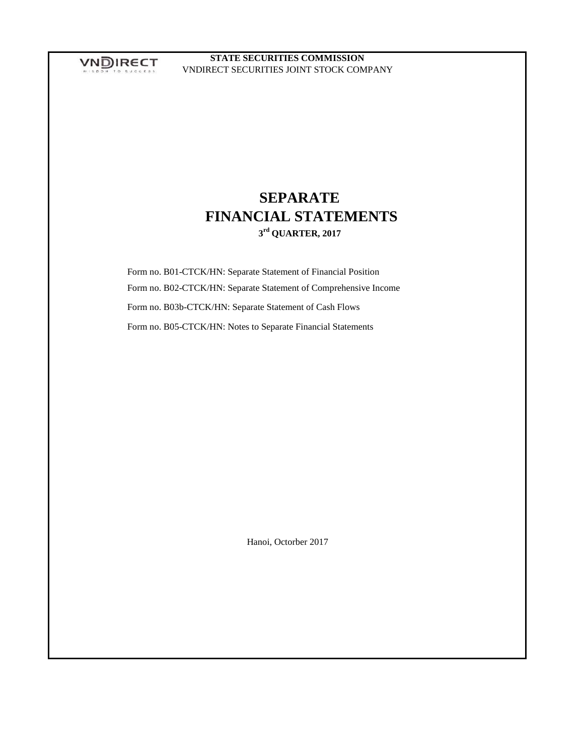VNDIRECT

**STATE SECURITIES COMMISSION** VNDIRECT SECURITIES JOINT STOCK COMPANY

# **SEPARATE FINANCIAL STATEMENTS 3 rd QUARTER, 2017**

 Form no. B01-CTCK/HN: Separate Statement of Financial Position Form no. B02-CTCK/HN: Separate Statement of Comprehensive Income Form no. B03b-CTCK/HN: Separate Statement of Cash Flows Form no. B05-CTCK/HN: Notes to Separate Financial Statements

Hanoi, Octorber 2017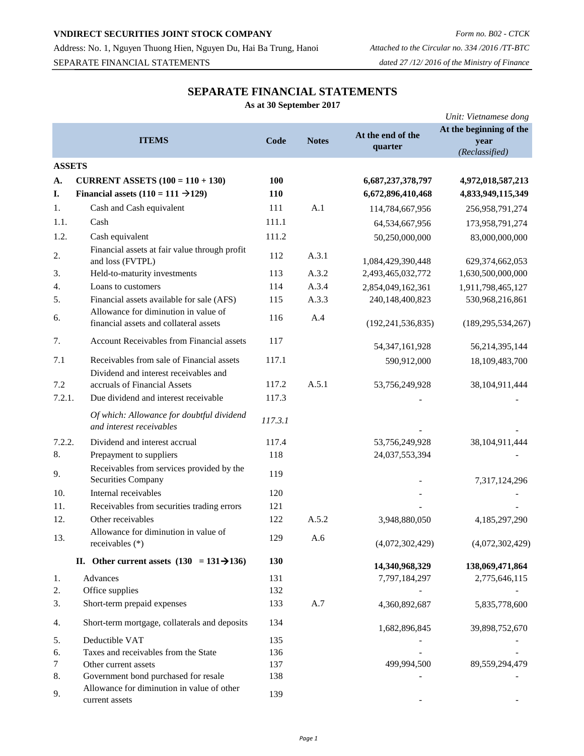Address: No. 1, Nguyen Thuong Hien, Nguyen Du, Hai Ba Trung, Hanoi *Attached to the Circular no. 334 /2016 /TT-BTC* SEPARATE FINANCIAL STATEMENTS *dated 27 /12/ 2016 of the Ministry of Finance*

# **SEPARATE FINANCIAL STATEMENTS**

**As at 30 September 2017**

|               |                                                                                    |         |              |                              | Unit: Vietnamese dong                             |
|---------------|------------------------------------------------------------------------------------|---------|--------------|------------------------------|---------------------------------------------------|
|               | <b>ITEMS</b>                                                                       | Code    | <b>Notes</b> | At the end of the<br>quarter | At the beginning of the<br>year<br>(Reclassified) |
| <b>ASSETS</b> |                                                                                    |         |              |                              |                                                   |
| A.            | <b>CURRENT ASSETS</b> $(100 = 110 + 130)$                                          | 100     |              | 6,687,237,378,797            | 4,972,018,587,213                                 |
| I.            | Financial assets $(110 = 111 \rightarrow 129)$                                     | 110     |              | 6,672,896,410,468            | 4,833,949,115,349                                 |
| 1.            | Cash and Cash equivalent                                                           | 111     | A.1          | 114,784,667,956              | 256,958,791,274                                   |
| 1.1.          | Cash                                                                               | 111.1   |              | 64,534,667,956               | 173,958,791,274                                   |
| 1.2.          | Cash equivalent                                                                    | 111.2   |              | 50,250,000,000               | 83,000,000,000                                    |
| 2.            | Financial assets at fair value through profit<br>and loss (FVTPL)                  | 112     | A.3.1        | 1,084,429,390,448            | 629,374,662,053                                   |
| 3.            | Held-to-maturity investments                                                       | 113     | A.3.2        | 2,493,465,032,772            | 1,630,500,000,000                                 |
| 4.            | Loans to customers                                                                 | 114     | A.3.4        | 2,854,049,162,361            | 1,911,798,465,127                                 |
| 5.            | Financial assets available for sale (AFS)                                          | 115     | A.3.3        | 240,148,400,823              | 530,968,216,861                                   |
| 6.            | Allowance for diminution in value of<br>financial assets and collateral assets     | 116     | A.4          | (192, 241, 536, 835)         | (189, 295, 534, 267)                              |
| 7.            | Account Receivables from Financial assets                                          | 117     |              | 54, 347, 161, 928            | 56,214,395,144                                    |
| 7.1           | Receivables from sale of Financial assets<br>Dividend and interest receivables and | 117.1   |              | 590,912,000                  | 18,109,483,700                                    |
| 7.2           | accruals of Financial Assets                                                       | 117.2   | A.5.1        | 53,756,249,928               | 38,104,911,444                                    |
| 7.2.1.        | Due dividend and interest receivable                                               | 117.3   |              |                              |                                                   |
|               | Of which: Allowance for doubtful dividend<br>and interest receivables              | 117.3.1 |              |                              |                                                   |
| 7.2.2.        | Dividend and interest accrual                                                      | 117.4   |              | 53,756,249,928               | 38,104,911,444                                    |
| 8.            | Prepayment to suppliers                                                            | 118     |              | 24,037,553,394               |                                                   |
| 9.            | Receivables from services provided by the<br><b>Securities Company</b>             | 119     |              |                              | 7,317,124,296                                     |
| 10.           | Internal receivables                                                               | 120     |              |                              |                                                   |
| 11.           | Receivables from securities trading errors                                         | 121     |              |                              |                                                   |
| 12.           | Other receivables                                                                  | 122     | A.5.2        | 3,948,880,050                | 4,185,297,290                                     |
| 13.           | Allowance for diminution in value of<br>receivables (*)                            | 129     | A.6          | (4,072,302,429)              | (4,072,302,429)                                   |
|               | II. Other current assets $(130 = 131 \rightarrow 136)$                             | 130     |              | 14,340,968,329               | 138,069,471,864                                   |
| 1.            | Advances                                                                           | 131     |              | 7,797,184,297                | 2,775,646,115                                     |
| 2.            | Office supplies                                                                    | 132     |              |                              |                                                   |
| 3.            | Short-term prepaid expenses                                                        | 133     | A.7          | 4,360,892,687                | 5,835,778,600                                     |
| 4.            | Short-term mortgage, collaterals and deposits                                      | 134     |              | 1,682,896,845                | 39,898,752,670                                    |
| 5.            | Deductible VAT                                                                     | 135     |              |                              |                                                   |
| 6.            | Taxes and receivables from the State                                               | 136     |              |                              |                                                   |
| 7             | Other current assets                                                               | 137     |              | 499,994,500                  | 89,559,294,479                                    |
| 8.            | Government bond purchased for resale<br>Allowance for diminution in value of other | 138     |              |                              |                                                   |
| 9.            | current assets                                                                     | 139     |              |                              |                                                   |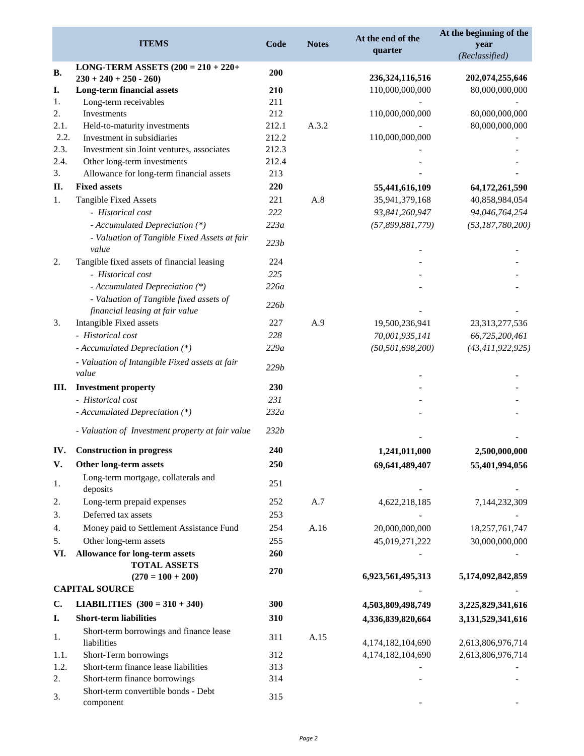| <b>ITEMS</b> |                                                              | Code<br><b>Notes</b> |       | At the end of the<br>quarter          | At the beginning of the<br>year<br>(Reclassified) |  |
|--------------|--------------------------------------------------------------|----------------------|-------|---------------------------------------|---------------------------------------------------|--|
| <b>B.</b>    | <b>LONG-TERM ASSETS <math>(200 = 210 + 220 +</math></b>      | 200                  |       |                                       |                                                   |  |
| I.           | $230 + 240 + 250 - 260$<br><b>Long-term financial assets</b> | 210                  |       | 236, 324, 116, 516<br>110,000,000,000 | 202,074,255,646<br>80,000,000,000                 |  |
| 1.           | Long-term receivables                                        | 211                  |       |                                       |                                                   |  |
| 2.           | Investments                                                  | 212                  |       | 110,000,000,000                       | 80,000,000,000                                    |  |
| 2.1.         | Held-to-maturity investments                                 | 212.1                | A.3.2 |                                       | 80,000,000,000                                    |  |
| 2.2.         | Investment in subsidiaries                                   | 212.2                |       | 110,000,000,000                       |                                                   |  |
| 2.3.         | Investment sin Joint ventures, associates                    | 212.3                |       |                                       |                                                   |  |
| 2.4.         | Other long-term investments                                  | 212.4                |       |                                       |                                                   |  |
| 3.           | Allowance for long-term financial assets                     | 213                  |       |                                       |                                                   |  |
| II.          | <b>Fixed assets</b>                                          | 220                  |       | 55,441,616,109                        | 64,172,261,590                                    |  |
| 1.           | Tangible Fixed Assets                                        | 221                  | A.8   | 35,941,379,168                        | 40,858,984,054                                    |  |
|              | - Historical cost                                            | 222                  |       | 93,841,260,947                        | 94,046,764,254                                    |  |
|              | - Accumulated Depreciation (*)                               | 223a                 |       | (57,899,881,779)                      | (53, 187, 780, 200)                               |  |
|              | - Valuation of Tangible Fixed Assets at fair<br>value        | 223b                 |       |                                       |                                                   |  |
| 2.           | Tangible fixed assets of financial leasing                   | 224                  |       |                                       |                                                   |  |
|              | - Historical cost                                            | 225                  |       |                                       |                                                   |  |
|              | - Accumulated Depreciation (*)                               | 226a                 |       |                                       |                                                   |  |
|              | - Valuation of Tangible fixed assets of                      | <b>226b</b>          |       |                                       |                                                   |  |
|              | financial leasing at fair value                              |                      |       |                                       |                                                   |  |
| 3.           | Intangible Fixed assets                                      | 227                  | A.9   | 19,500,236,941                        | 23,313,277,536                                    |  |
|              | - Historical cost                                            | 228                  |       | 70,001,935,141                        | 66,725,200,461                                    |  |
|              | - Accumulated Depreciation (*)                               | 229a                 |       | (50, 501, 698, 200)                   | (43, 411, 922, 925)                               |  |
|              | - Valuation of Intangible Fixed assets at fair<br>value      | 229b                 |       |                                       |                                                   |  |
| Ш.           | <b>Investment property</b>                                   | 230                  |       |                                       |                                                   |  |
|              | - Historical cost                                            | 231                  |       |                                       |                                                   |  |
|              | - Accumulated Depreciation (*)                               | 232a                 |       |                                       |                                                   |  |
|              | - Valuation of Investment property at fair value             | 232b                 |       |                                       |                                                   |  |
| IV.          | <b>Construction in progress</b>                              | 240                  |       | 1,241,011,000                         | 2,500,000,000                                     |  |
| V.           | Other long-term assets                                       | 250                  |       | 69,641,489,407                        | 55,401,994,056                                    |  |
| 1.           | Long-term mortgage, collaterals and<br>deposits              | 251                  |       |                                       |                                                   |  |
| 2.           | Long-term prepaid expenses                                   | 252                  | A.7   | 4,622,218,185                         | 7,144,232,309                                     |  |
| 3.           | Deferred tax assets                                          | 253                  |       |                                       |                                                   |  |
| 4.           | Money paid to Settlement Assistance Fund                     | 254                  | A.16  | 20,000,000,000                        | 18,257,761,747                                    |  |
| 5.           | Other long-term assets                                       | 255                  |       | 45,019,271,222                        | 30,000,000,000                                    |  |
| VI.          | Allowance for long-term assets                               | 260                  |       |                                       |                                                   |  |
|              | <b>TOTAL ASSETS</b>                                          | 270                  |       |                                       |                                                   |  |
|              | $(270 = 100 + 200)$                                          |                      |       | 6,923,561,495,313                     | 5,174,092,842,859                                 |  |
|              | <b>CAPITAL SOURCE</b>                                        |                      |       |                                       |                                                   |  |
| C.           | <b>LIABILITIES</b> $(300 = 310 + 340)$                       | 300                  |       | 4,503,809,498,749                     | 3,225,829,341,616                                 |  |
| I.           | <b>Short-term liabilities</b>                                | 310                  |       | 4,336,839,820,664                     | 3,131,529,341,616                                 |  |
| 1.           | Short-term borrowings and finance lease<br>liabilities       | 311                  | A.15  | 4,174,182,104,690                     | 2,613,806,976,714                                 |  |
| 1.1.         | Short-Term borrowings                                        | 312                  |       | 4,174,182,104,690                     | 2,613,806,976,714                                 |  |
| 1.2.         | Short-term finance lease liabilities                         | 313                  |       |                                       |                                                   |  |
| 2.           | Short-term finance borrowings                                | 314                  |       |                                       |                                                   |  |
| 3.           | Short-term convertible bonds - Debt<br>component             | 315                  |       |                                       |                                                   |  |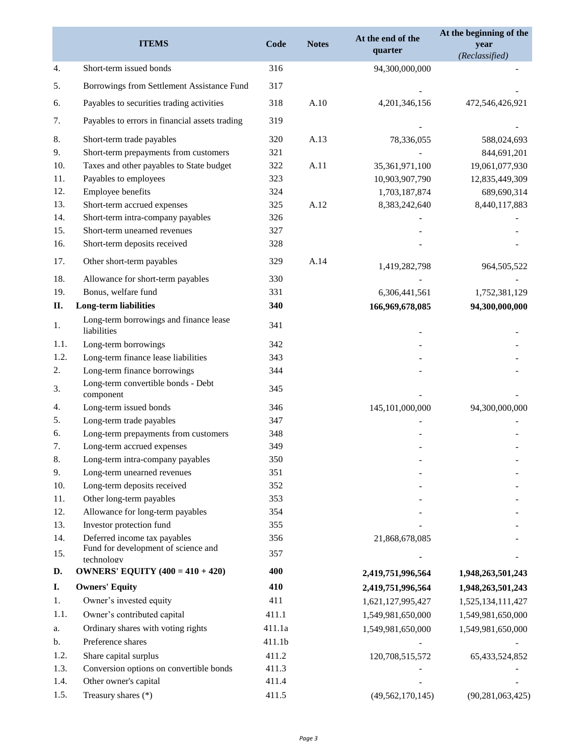| <b>ITEMS</b> |                                                                     | Code   | <b>Notes</b> | At the end of the<br>quarter | At the beginning of the<br>year<br>(Reclassified) |  |
|--------------|---------------------------------------------------------------------|--------|--------------|------------------------------|---------------------------------------------------|--|
| 4.           | Short-term issued bonds                                             | 316    |              | 94,300,000,000               |                                                   |  |
| 5.           | Borrowings from Settlement Assistance Fund                          | 317    |              |                              |                                                   |  |
| 6.           | Payables to securities trading activities                           | 318    | A.10         | 4,201,346,156                | 472,546,426,921                                   |  |
| 7.           | Payables to errors in financial assets trading                      | 319    |              |                              |                                                   |  |
| 8.           | Short-term trade payables                                           | 320    | A.13         |                              |                                                   |  |
| 9.           | Short-term prepayments from customers                               | 321    |              | 78,336,055                   | 588,024,693                                       |  |
| 10.          | Taxes and other payables to State budget                            | 322    | A.11         | 35,361,971,100               | 844,691,201<br>19,061,077,930                     |  |
| 11.          | Payables to employees                                               | 323    |              | 10,903,907,790               | 12,835,449,309                                    |  |
| 12.          | Employee benefits                                                   | 324    |              | 1,703,187,874                | 689,690,314                                       |  |
| 13.          | Short-term accrued expenses                                         | 325    | A.12         | 8,383,242,640                | 8,440,117,883                                     |  |
| 14.          | Short-term intra-company payables                                   | 326    |              |                              |                                                   |  |
| 15.          | Short-term unearned revenues                                        | 327    |              |                              |                                                   |  |
| 16.          | Short-term deposits received                                        | 328    |              |                              |                                                   |  |
| 17.          | Other short-term payables                                           | 329    | A.14         |                              |                                                   |  |
| 18.          | Allowance for short-term payables                                   | 330    |              | 1,419,282,798                | 964,505,522                                       |  |
| 19.          | Bonus, welfare fund                                                 | 331    |              | 6,306,441,561                | 1,752,381,129                                     |  |
| П.           | Long-term liabilities                                               | 340    |              | 166,969,678,085              | 94,300,000,000                                    |  |
| 1.           | Long-term borrowings and finance lease                              | 341    |              |                              |                                                   |  |
|              | liabilities                                                         |        |              |                              |                                                   |  |
| 1.1.<br>1.2. | Long-term borrowings                                                | 342    |              |                              |                                                   |  |
| 2.           | Long-term finance lease liabilities<br>Long-term finance borrowings | 343    |              |                              |                                                   |  |
|              | Long-term convertible bonds - Debt                                  | 344    |              |                              |                                                   |  |
| 3.           | component                                                           | 345    |              |                              |                                                   |  |
| 4.           | Long-term issued bonds                                              | 346    |              | 145,101,000,000              | 94,300,000,000                                    |  |
| 5.           | Long-term trade payables                                            | 347    |              |                              |                                                   |  |
| 6.           | Long-term prepayments from customers                                | 348    |              |                              |                                                   |  |
| 7.           | Long-term accrued expenses                                          | 349    |              |                              |                                                   |  |
| 8.           | Long-term intra-company payables                                    | 350    |              |                              |                                                   |  |
| 9.           | Long-term unearned revenues                                         | 351    |              |                              |                                                   |  |
| 10.          | Long-term deposits received                                         | 352    |              |                              |                                                   |  |
| 11.          | Other long-term payables                                            | 353    |              |                              |                                                   |  |
| 12.          | Allowance for long-term payables                                    | 354    |              |                              |                                                   |  |
| 13.          | Investor protection fund                                            | 355    |              |                              |                                                   |  |
| 14.          | Deferred income tax payables<br>Fund for development of science and | 356    |              | 21,868,678,085               |                                                   |  |
| 15.          | technology                                                          | 357    |              |                              |                                                   |  |
| D.           | <b>OWNERS' EQUITY</b> $(400 = 410 + 420)$                           | 400    |              | 2,419,751,996,564            | 1,948,263,501,243                                 |  |
| I.           | <b>Owners' Equity</b>                                               | 410    |              | 2,419,751,996,564            | 1,948,263,501,243                                 |  |
| 1.           | Owner's invested equity                                             | 411    |              | 1,621,127,995,427            | 1,525,134,111,427                                 |  |
| 1.1.         | Owner's contributed capital                                         | 411.1  |              | 1,549,981,650,000            | 1,549,981,650,000                                 |  |
| a.           | Ordinary shares with voting rights                                  | 411.1a |              | 1,549,981,650,000            | 1,549,981,650,000                                 |  |
| b.           | Preference shares                                                   | 411.1b |              |                              |                                                   |  |
| 1.2.         | Share capital surplus                                               | 411.2  |              | 120,708,515,572              | 65,433,524,852                                    |  |
| 1.3.         | Conversion options on convertible bonds                             | 411.3  |              |                              |                                                   |  |
| 1.4.         | Other owner's capital                                               | 411.4  |              |                              |                                                   |  |
| 1.5.         | Treasury shares (*)                                                 | 411.5  |              | (49, 562, 170, 145)          | (90, 281, 063, 425)                               |  |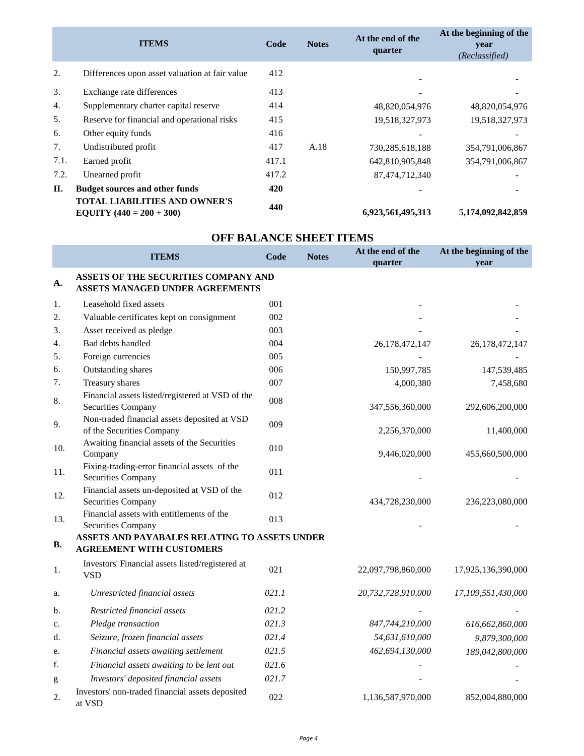|      | <b>ITEMS</b>                                                              | Code  | <b>Notes</b> | At the end of the<br>quarter | At the beginning of the<br>year<br>(Reclassified) |
|------|---------------------------------------------------------------------------|-------|--------------|------------------------------|---------------------------------------------------|
| 2.   | Differences upon asset valuation at fair value                            | 412   |              |                              |                                                   |
| 3.   | Exchange rate differences                                                 | 413   |              |                              |                                                   |
| 4.   | Supplementary charter capital reserve                                     | 414   |              | 48,820,054,976               | 48,820,054,976                                    |
| 5.   | Reserve for financial and operational risks                               | 415   |              | 19,518,327,973               | 19,518,327,973                                    |
| 6.   | Other equity funds                                                        | 416   |              |                              |                                                   |
| 7.   | Undistributed profit                                                      | 417   | A.18         | 730,285,618,188              | 354,791,006,867                                   |
| 7.1. | Earned profit                                                             | 417.1 |              | 642,810,905,848              | 354,791,006,867                                   |
| 7.2. | Unearned profit                                                           | 417.2 |              | 87,474,712,340               |                                                   |
| II.  | <b>Budget sources and other funds</b>                                     | 420   |              |                              |                                                   |
|      | <b>TOTAL LIABILITIES AND OWNER'S</b><br><b>EQUITY</b> $(440 = 200 + 300)$ | 440   |              | 6,923,561,495,313            | 5,174,092,842,859                                 |

|                  | <b>ITEMS</b>                                                                     | <b>Code</b> | <b>Notes</b> | At the end of the<br>quarter | At the beginning of the<br>vear |
|------------------|----------------------------------------------------------------------------------|-------------|--------------|------------------------------|---------------------------------|
| A.               | ASSETS OF THE SECURITIES COMPANY AND<br>ASSETS MANAGED UNDER AGREEMENTS          |             |              |                              |                                 |
| 1.               | Leasehold fixed assets                                                           | 001         |              |                              |                                 |
| 2.               | Valuable certificates kept on consignment                                        | 002         |              |                              |                                 |
| 3.               | Asset received as pledge                                                         | 003         |              |                              |                                 |
| $\overline{4}$ . | Bad debts handled                                                                | 004         |              | 26,178,472,147               | 26, 178, 472, 147               |
| 5.               | Foreign currencies                                                               | 005         |              |                              |                                 |
| 6.               | Outstanding shares                                                               | 006         |              | 150,997,785                  | 147,539,485                     |
| 7.               | Treasury shares                                                                  | 007         |              | 4,000,380                    | 7,458,680                       |
| 8.               | Financial assets listed/registered at VSD of the<br>Securities Company           | 008         |              | 347,556,360,000              | 292,606,200,000                 |
| 9.               | Non-traded financial assets deposited at VSD<br>of the Securities Company        | 009         |              | 2,256,370,000                | 11,400,000                      |
| 10.              | Awaiting financial assets of the Securities<br>Company                           | 010         |              | 9,446,020,000                | 455,660,500,000                 |
| 11.              | Fixing-trading-error financial assets of the<br>Securities Company               | 011         |              |                              |                                 |
| 12.              | Financial assets un-deposited at VSD of the<br><b>Securities Company</b>         | 012         |              | 434,728,230,000              | 236,223,080,000                 |
| 13.              | Financial assets with entitlements of the<br>Securities Company                  | 013         |              |                              |                                 |
| <b>B.</b>        | ASSETS AND PAYABALES RELATING TO ASSETS UNDER<br><b>AGREEMENT WITH CUSTOMERS</b> |             |              |                              |                                 |
| 1.               | Investors' Financial assets listed/registered at<br><b>VSD</b>                   | 021         |              | 22,097,798,860,000           | 17,925,136,390,000              |
| a.               | Unrestricted financial assets                                                    | 021.1       |              | 20,732,728,910,000           | 17,109,551,430,000              |
| b.               | Restricted financial assets                                                      | 021.2       |              |                              |                                 |
| c.               | Pledge transaction                                                               | 021.3       |              | 847,744,210,000              | 616,662,860,000                 |
| d.               | Seizure, frozen financial assets                                                 | 021.4       |              | 54,631,610,000               | 9,879,300,000                   |
| e.               | Financial assets awaiting settlement                                             | 021.5       |              | 462,694,130,000              | 189,042,800,000                 |
| f.               | Financial assets awaiting to be lent out                                         | 021.6       |              |                              |                                 |

# **OFF BALANCE SHEET ITEMS**

at VSD at VSD at VSD

g *Investors' deposited financial assets* 021.7

2. Investors' non-traded financial assets deposited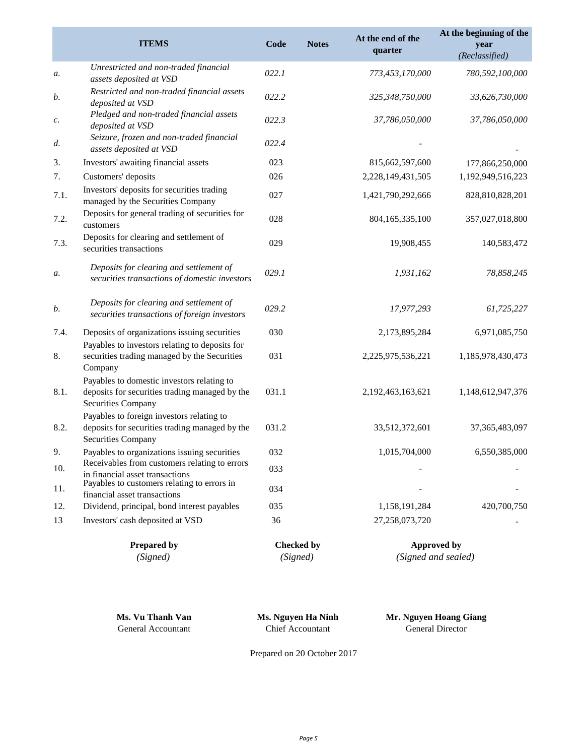|                 | <b>ITEMS</b>                                                                                                              | Code  | <b>Notes</b> | At the end of the<br>quarter | At the beginning of the<br>year<br>(Reclassified) |
|-----------------|---------------------------------------------------------------------------------------------------------------------------|-------|--------------|------------------------------|---------------------------------------------------|
| а.              | Unrestricted and non-traded financial<br>assets deposited at VSD                                                          | 022.1 |              | 773,453,170,000              | 780,592,100,000                                   |
| b.              | Restricted and non-traded financial assets<br>deposited at VSD                                                            | 022.2 |              | 325,348,750,000              | 33,626,730,000                                    |
| $\mathcal{C}$ . | Pledged and non-traded financial assets<br>deposited at VSD                                                               | 022.3 |              | 37,786,050,000               | 37,786,050,000                                    |
| d.              | Seizure, frozen and non-traded financial<br>assets deposited at VSD                                                       | 022.4 |              |                              |                                                   |
| 3.              | Investors' awaiting financial assets                                                                                      | 023   |              | 815,662,597,600              | 177,866,250,000                                   |
| 7.              | Customers' deposits                                                                                                       | 026   |              | 2,228,149,431,505            | 1,192,949,516,223                                 |
| 7.1.            | Investors' deposits for securities trading<br>managed by the Securities Company                                           | 027   |              | 1,421,790,292,666            | 828,810,828,201                                   |
| 7.2.            | Deposits for general trading of securities for<br>customers                                                               | 028   |              | 804,165,335,100              | 357,027,018,800                                   |
| 7.3.            | Deposits for clearing and settlement of<br>securities transactions                                                        | 029   |              | 19,908,455                   | 140,583,472                                       |
| а.              | Deposits for clearing and settlement of<br>securities transactions of domestic investors                                  | 029.1 |              | 1,931,162                    | 78,858,245                                        |
| b.              | Deposits for clearing and settlement of<br>securities transactions of foreign investors                                   | 029.2 |              | 17,977,293                   | 61,725,227                                        |
| 7.4.            | Deposits of organizations issuing securities<br>Payables to investors relating to deposits for                            | 030   |              | 2,173,895,284                | 6,971,085,750                                     |
| 8.              | securities trading managed by the Securities<br>Company                                                                   | 031   |              | 2,225,975,536,221            | 1,185,978,430,473                                 |
| 8.1.            | Payables to domestic investors relating to<br>deposits for securities trading managed by the<br><b>Securities Company</b> | 031.1 |              | 2,192,463,163,621            | 1,148,612,947,376                                 |
| 8.2.            | Payables to foreign investors relating to<br>deposits for securities trading managed by the<br><b>Securities Company</b>  | 031.2 |              | 33,512,372,601               | 37, 365, 483, 097                                 |
| 9.              | Payables to organizations issuing securities                                                                              | 032   |              | 1,015,704,000                | 6,550,385,000                                     |
| 10.             | Receivables from customers relating to errors<br>in financial asset transactions                                          | 033   |              |                              |                                                   |
| 11.             | Payables to customers relating to errors in<br>financial asset transactions                                               | 034   |              |                              |                                                   |
| 12.             | Dividend, principal, bond interest payables                                                                               | 035   |              | 1,158,191,284                | 420,700,750                                       |
| 13              | Investors' cash deposited at VSD                                                                                          | 36    |              | 27,258,073,720               |                                                   |

| <b>Prepared by</b> | Checked by | Approved by         |
|--------------------|------------|---------------------|
| (Signed)           | (Signed)   | (Signed and sealed) |

|  | Ms. Vu Thanh Van   |  |
|--|--------------------|--|
|  | General Accountant |  |

Chief Accountant General Director **Ms. Nguyen Ha Ninh Mr. Nguyen Hoang Giang**

Prepared on 20 October 2017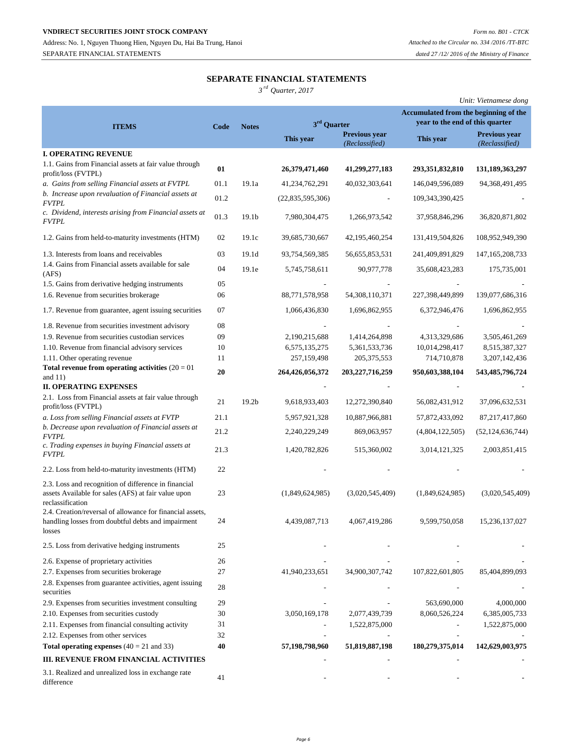## **SEPARATE FINANCIAL STATEMENTS**

*3 rd Quarter, 2017*

|                                                                                                                           |      |                   |                         |                                        |                                       | Unit: Vietnamese dong           |
|---------------------------------------------------------------------------------------------------------------------------|------|-------------------|-------------------------|----------------------------------------|---------------------------------------|---------------------------------|
|                                                                                                                           |      |                   |                         |                                        | Accumulated from the beginning of the |                                 |
| <b>ITEMS</b>                                                                                                              | Code | <b>Notes</b>      | 3 <sup>rd</sup> Quarter |                                        | year to the end of this quarter       |                                 |
|                                                                                                                           |      |                   | This year               | <b>Previous year</b><br>(Reclassified) | This year                             | Previous year<br>(Reclassified) |
| <b>I. OPERATING REVENUE</b>                                                                                               |      |                   |                         |                                        |                                       |                                 |
| 1.1. Gains from Financial assets at fair value through<br>profit/loss (FVTPL)                                             | 01   |                   | 26,379,471,460          | 41,299,277,183                         | 293,351,832,810                       | 131,189,363,297                 |
| a. Gains from selling Financial assets at FVTPL                                                                           | 01.1 | 19.1a             | 41,234,762,291          | 40,032,303,641                         | 146,049,596,089                       | 94, 368, 491, 495               |
| b. Increase upon revaluation of Financial assets at<br><b>FVTPL</b>                                                       | 01.2 |                   | (22,835,595,306)        |                                        | 109, 343, 390, 425                    |                                 |
| c. Dividend, interests arising from Financial assets at<br><i>FVTPL</i>                                                   | 01.3 | 19.1 <sub>b</sub> | 7,980,304,475           | 1,266,973,542                          | 37,958,846,296                        | 36,820,871,802                  |
| 1.2. Gains from held-to-maturity investments (HTM)                                                                        | 02   | 19.1c             | 39,685,730,667          | 42, 195, 460, 254                      | 131,419,504,826                       | 108,952,949,390                 |
| 1.3. Interests from loans and receivables                                                                                 | 03   | 19.1 <sub>d</sub> | 93,754,569,385          | 56,655,853,531                         | 241,409,891,829                       | 147, 165, 208, 733              |
| 1.4. Gains from Financial assets available for sale<br>(AFS)                                                              | 04   | 19.1e             | 5,745,758,611           | 90,977,778                             | 35,608,423,283                        | 175,735,001                     |
| 1.5. Gains from derivative hedging instruments                                                                            | 05   |                   |                         |                                        |                                       |                                 |
| 1.6. Revenue from securities brokerage                                                                                    | 06   |                   | 88,771,578,958          | 54,308,110,371                         | 227,398,449,899                       | 139,077,686,316                 |
| 1.7. Revenue from guarantee, agent issuing securities                                                                     | 07   |                   | 1,066,436,830           | 1,696,862,955                          | 6,372,946,476                         | 1,696,862,955                   |
| 1.8. Revenue from securities investment advisory                                                                          | 08   |                   |                         |                                        |                                       |                                 |
| 1.9. Revenue from securities custodian services                                                                           | 09   |                   | 2,190,215,688           | 1,414,264,898                          | 4,313,329,686                         | 3,505,461,269                   |
| 1.10. Revenue from financial advisory services                                                                            | 10   |                   | 6,575,135,275           | 5, 361, 533, 736                       | 10,014,298,417                        | 8,515,387,327                   |
| 1.11. Other operating revenue                                                                                             | 11   |                   | 257,159,498             | 205, 375, 553                          | 714,710,878                           | 3,207,142,436                   |
| Total revenue from operating activities $(20 = 01$<br>and $11)$                                                           | 20   |                   | 264,426,056,372         | 203,227,716,259                        | 950,603,388,104                       | 543,485,796,724                 |
| <b>II. OPERATING EXPENSES</b>                                                                                             |      |                   |                         |                                        |                                       |                                 |
| 2.1. Loss from Financial assets at fair value through<br>profit/loss (FVTPL)                                              | 21   | 19.2 <sub>b</sub> | 9,618,933,403           | 12,272,390,840                         | 56,082,431,912                        | 37,096,632,531                  |
| a. Loss from selling Financial assets at FVTP                                                                             | 21.1 |                   | 5,957,921,328           | 10,887,966,881                         | 57,872,433,092                        | 87, 217, 417, 860               |
| b. Decrease upon revaluation of Financial assets at<br><b>FVTPL</b>                                                       | 21.2 |                   | 2,240,229,249           | 869,063,957                            | (4,804,122,505)                       | (52, 124, 636, 744)             |
| c. Trading expenses in buying Financial assets at<br><b>FVTPL</b>                                                         | 21.3 |                   | 1,420,782,826           | 515,360,002                            | 3,014,121,325                         | 2,003,851,415                   |
| 2.2. Loss from held-to-maturity investments (HTM)                                                                         | 22   |                   |                         |                                        |                                       |                                 |
| 2.3. Loss and recognition of difference in financial                                                                      |      |                   |                         |                                        |                                       |                                 |
| assets Available for sales (AFS) at fair value upon<br>reclassification                                                   | 23   |                   | (1,849,624,985)         | (3,020,545,409)                        | (1,849,624,985)                       | (3,020,545,409)                 |
| 2.4. Creation/reversal of allowance for financial assets,<br>handling losses from doubtful debts and impairment<br>losses | 24   |                   | 4,439,087,713           | 4,067,419,286                          | 9,599,750,058                         | 15,236,137,027                  |
| 2.5. Loss from derivative hedging instruments                                                                             | 25   |                   |                         |                                        |                                       |                                 |
| 2.6. Expense of proprietary activities                                                                                    | 26   |                   |                         |                                        |                                       |                                 |
| 2.7. Expenses from securities brokerage                                                                                   | 27   |                   | 41,940,233,651          | 34,900,307,742                         | 107,822,601,805                       | 85,404,899,093                  |
| 2.8. Expenses from guarantee activities, agent issuing<br>securities                                                      | 28   |                   |                         |                                        |                                       |                                 |
| 2.9. Expenses from securities investment consulting                                                                       | 29   |                   |                         |                                        | 563,690,000                           | 4,000,000                       |
| 2.10. Expenses from securities custody                                                                                    | 30   |                   | 3,050,169,178           | 2,077,439,739                          | 8,060,526,224                         | 6,385,005,733                   |
| 2.11. Expenses from financial consulting activity                                                                         | 31   |                   |                         | 1,522,875,000                          |                                       | 1,522,875,000                   |
| 2.12. Expenses from other services                                                                                        | 32   |                   |                         |                                        |                                       |                                 |
| Total operating expenses $(40 = 21$ and 33)                                                                               | 40   |                   | 57,198,798,960          | 51,819,887,198                         | 180,279,375,014                       | 142,629,003,975                 |
| III. REVENUE FROM FINANCIAL ACTIVITIES                                                                                    |      |                   |                         |                                        |                                       |                                 |
| 3.1. Realized and unrealized loss in exchange rate<br>difference                                                          | 41   |                   |                         |                                        |                                       |                                 |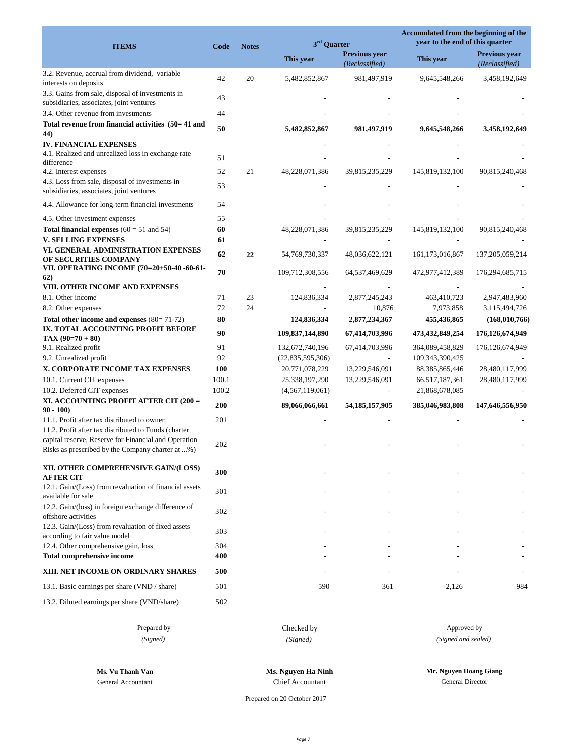| <b>Previous year</b><br><b>Previous vear</b><br>This year<br>This year<br>(Reclassified)<br>(Reclassified)<br>3.2. Revenue, accrual from dividend, variable<br>42<br>20<br>981,497,919<br>3,458,192,649<br>5,482,852,867<br>9,645,548,266<br>interests on deposits<br>3.3. Gains from sale, disposal of investments in<br>43<br>subsidiaries, associates, joint ventures<br>3.4. Other revenue from investments<br>44<br>Total revenue from financial activities (50=41 and<br>50<br>5,482,852,867<br>981,497,919<br>9,645,548,266<br>3,458,192,649<br>44)<br><b>IV. FINANCIAL EXPENSES</b><br>4.1. Realized and unrealized loss in exchange rate<br>51<br>difference<br>52<br>21<br>48,228,071,386<br>145,819,132,100<br>4.2. Interest expenses<br>39,815,235,229<br>90,815,240,468<br>4.3. Loss from sale, disposal of investments in<br>53<br>subsidiaries, associates, joint ventures<br>4.4. Allowance for long-term financial investments<br>54<br>55<br>4.5. Other investment expenses<br>60<br><b>Total financial expenses</b> $(60 = 51$ and 54)<br>48,228,071,386<br>39,815,235,229<br>145,819,132,100<br>90,815,240,468<br>61<br><b>V. SELLING EXPENSES</b><br>VI. GENERAL ADMINISTRATION EXPENSES<br>62<br>22<br>54,769,730,337<br>48,036,622,121<br>161,173,016,867<br>137,205,059,214<br>OF SECURITIES COMPANY<br>VII. OPERATING INCOME (70=20+50-40 -60-61-<br>70<br>109,712,308,556<br>64,537,469,629<br>472,977,412,389<br>176,294,685,715<br>62)<br>VIII. OTHER INCOME AND EXPENSES<br>71<br>23<br>124,836,334<br>2,877,245,243<br>463,410,723<br>2,947,483,960<br>8.1. Other income<br>72<br>24<br>10,876<br>7,973,858<br>8.2. Other expenses<br>3,115,494,726<br>80<br>Total other income and expenses (80=71-72)<br>124,836,334<br>2,877,234,367<br>455,436,865<br>(168, 010, 766)<br>IX. TOTAL ACCOUNTING PROFIT BEFORE<br>90<br>109,837,144,890<br>67,414,703,996<br>473,432,849,254<br>176,126,674,949<br>$TAX (90=70+80)$<br>91<br>9.1. Realized profit<br>132,672,740,196<br>67,414,703,996<br>364,089,458,829<br>176, 126, 674, 949<br>92<br>9.2. Unrealized profit<br>109,343,390,425<br>(22,835,595,306)<br>X. CORPORATE INCOME TAX EXPENSES<br>100<br>20,771,078,229<br>13,229,546,091<br>88, 385, 865, 446<br>28,480,117,999<br>100.1<br>10.1. Current CIT expenses<br>25,338,197,290<br>13,229,546,091<br>66,517,187,361<br>28,480,117,999<br>100.2<br>10.2. Deferred CIT expenses<br>(4, 567, 119, 061)<br>21,868,678,085<br>XI. ACCOUNTING PROFIT AFTER CIT (200 =<br>200<br>89,066,066,661<br>147,646,556,950<br>54, 185, 157, 905<br>385,046,983,808<br>$90 - 100$<br>11.1. Profit after tax distributed to owner<br>201<br>11.2. Profit after tax distributed to Funds (charter<br>capital reserve, Reserve for Financial and Operation<br>202<br>Risks as prescribed by the Company charter at %)<br>300<br><b>AFTER CIT</b><br>12.1. Gain/(Loss) from revaluation of financial assets<br>301<br>available for sale<br>12.2. Gain/(loss) in foreign exchange difference of<br>302<br>offshore activities<br>12.3. Gain/(Loss) from revaluation of fixed assets<br>303<br>according to fair value model<br>12.4. Other comprehensive gain, loss<br>304<br><b>Total comprehensive income</b><br>400<br>XIII. NET INCOME ON ORDINARY SHARES<br>500<br>13.1. Basic earnings per share (VND / share)<br>501<br>590<br>361<br>2,126<br>984<br>13.2. Diluted earnings per share (VND/share)<br>502 | 3 <sup>rd</sup> Quarter<br><b>ITEMS</b><br><b>Notes</b><br>Code |  | Accumulated from the beginning of the<br>year to the end of this quarter |  |  |
|-----------------------------------------------------------------------------------------------------------------------------------------------------------------------------------------------------------------------------------------------------------------------------------------------------------------------------------------------------------------------------------------------------------------------------------------------------------------------------------------------------------------------------------------------------------------------------------------------------------------------------------------------------------------------------------------------------------------------------------------------------------------------------------------------------------------------------------------------------------------------------------------------------------------------------------------------------------------------------------------------------------------------------------------------------------------------------------------------------------------------------------------------------------------------------------------------------------------------------------------------------------------------------------------------------------------------------------------------------------------------------------------------------------------------------------------------------------------------------------------------------------------------------------------------------------------------------------------------------------------------------------------------------------------------------------------------------------------------------------------------------------------------------------------------------------------------------------------------------------------------------------------------------------------------------------------------------------------------------------------------------------------------------------------------------------------------------------------------------------------------------------------------------------------------------------------------------------------------------------------------------------------------------------------------------------------------------------------------------------------------------------------------------------------------------------------------------------------------------------------------------------------------------------------------------------------------------------------------------------------------------------------------------------------------------------------------------------------------------------------------------------------------------------------------------------------------------------------------------------------------------------------------------------------------------------------------------------------------------------------------------------------------------------------------------------------------------------------------------------------------------------------------------------------------------------------------------------------------------------------------------------------------------------------------------------------------------------------------------------------------------------------------------------------------------------|-----------------------------------------------------------------|--|--------------------------------------------------------------------------|--|--|
|                                                                                                                                                                                                                                                                                                                                                                                                                                                                                                                                                                                                                                                                                                                                                                                                                                                                                                                                                                                                                                                                                                                                                                                                                                                                                                                                                                                                                                                                                                                                                                                                                                                                                                                                                                                                                                                                                                                                                                                                                                                                                                                                                                                                                                                                                                                                                                                                                                                                                                                                                                                                                                                                                                                                                                                                                                                                                                                                                                                                                                                                                                                                                                                                                                                                                                                                                                                                                                   |                                                                 |  |                                                                          |  |  |
|                                                                                                                                                                                                                                                                                                                                                                                                                                                                                                                                                                                                                                                                                                                                                                                                                                                                                                                                                                                                                                                                                                                                                                                                                                                                                                                                                                                                                                                                                                                                                                                                                                                                                                                                                                                                                                                                                                                                                                                                                                                                                                                                                                                                                                                                                                                                                                                                                                                                                                                                                                                                                                                                                                                                                                                                                                                                                                                                                                                                                                                                                                                                                                                                                                                                                                                                                                                                                                   |                                                                 |  |                                                                          |  |  |
|                                                                                                                                                                                                                                                                                                                                                                                                                                                                                                                                                                                                                                                                                                                                                                                                                                                                                                                                                                                                                                                                                                                                                                                                                                                                                                                                                                                                                                                                                                                                                                                                                                                                                                                                                                                                                                                                                                                                                                                                                                                                                                                                                                                                                                                                                                                                                                                                                                                                                                                                                                                                                                                                                                                                                                                                                                                                                                                                                                                                                                                                                                                                                                                                                                                                                                                                                                                                                                   |                                                                 |  |                                                                          |  |  |
|                                                                                                                                                                                                                                                                                                                                                                                                                                                                                                                                                                                                                                                                                                                                                                                                                                                                                                                                                                                                                                                                                                                                                                                                                                                                                                                                                                                                                                                                                                                                                                                                                                                                                                                                                                                                                                                                                                                                                                                                                                                                                                                                                                                                                                                                                                                                                                                                                                                                                                                                                                                                                                                                                                                                                                                                                                                                                                                                                                                                                                                                                                                                                                                                                                                                                                                                                                                                                                   |                                                                 |  |                                                                          |  |  |
|                                                                                                                                                                                                                                                                                                                                                                                                                                                                                                                                                                                                                                                                                                                                                                                                                                                                                                                                                                                                                                                                                                                                                                                                                                                                                                                                                                                                                                                                                                                                                                                                                                                                                                                                                                                                                                                                                                                                                                                                                                                                                                                                                                                                                                                                                                                                                                                                                                                                                                                                                                                                                                                                                                                                                                                                                                                                                                                                                                                                                                                                                                                                                                                                                                                                                                                                                                                                                                   |                                                                 |  |                                                                          |  |  |
|                                                                                                                                                                                                                                                                                                                                                                                                                                                                                                                                                                                                                                                                                                                                                                                                                                                                                                                                                                                                                                                                                                                                                                                                                                                                                                                                                                                                                                                                                                                                                                                                                                                                                                                                                                                                                                                                                                                                                                                                                                                                                                                                                                                                                                                                                                                                                                                                                                                                                                                                                                                                                                                                                                                                                                                                                                                                                                                                                                                                                                                                                                                                                                                                                                                                                                                                                                                                                                   |                                                                 |  |                                                                          |  |  |
|                                                                                                                                                                                                                                                                                                                                                                                                                                                                                                                                                                                                                                                                                                                                                                                                                                                                                                                                                                                                                                                                                                                                                                                                                                                                                                                                                                                                                                                                                                                                                                                                                                                                                                                                                                                                                                                                                                                                                                                                                                                                                                                                                                                                                                                                                                                                                                                                                                                                                                                                                                                                                                                                                                                                                                                                                                                                                                                                                                                                                                                                                                                                                                                                                                                                                                                                                                                                                                   |                                                                 |  |                                                                          |  |  |
|                                                                                                                                                                                                                                                                                                                                                                                                                                                                                                                                                                                                                                                                                                                                                                                                                                                                                                                                                                                                                                                                                                                                                                                                                                                                                                                                                                                                                                                                                                                                                                                                                                                                                                                                                                                                                                                                                                                                                                                                                                                                                                                                                                                                                                                                                                                                                                                                                                                                                                                                                                                                                                                                                                                                                                                                                                                                                                                                                                                                                                                                                                                                                                                                                                                                                                                                                                                                                                   |                                                                 |  |                                                                          |  |  |
|                                                                                                                                                                                                                                                                                                                                                                                                                                                                                                                                                                                                                                                                                                                                                                                                                                                                                                                                                                                                                                                                                                                                                                                                                                                                                                                                                                                                                                                                                                                                                                                                                                                                                                                                                                                                                                                                                                                                                                                                                                                                                                                                                                                                                                                                                                                                                                                                                                                                                                                                                                                                                                                                                                                                                                                                                                                                                                                                                                                                                                                                                                                                                                                                                                                                                                                                                                                                                                   |                                                                 |  |                                                                          |  |  |
|                                                                                                                                                                                                                                                                                                                                                                                                                                                                                                                                                                                                                                                                                                                                                                                                                                                                                                                                                                                                                                                                                                                                                                                                                                                                                                                                                                                                                                                                                                                                                                                                                                                                                                                                                                                                                                                                                                                                                                                                                                                                                                                                                                                                                                                                                                                                                                                                                                                                                                                                                                                                                                                                                                                                                                                                                                                                                                                                                                                                                                                                                                                                                                                                                                                                                                                                                                                                                                   |                                                                 |  |                                                                          |  |  |
|                                                                                                                                                                                                                                                                                                                                                                                                                                                                                                                                                                                                                                                                                                                                                                                                                                                                                                                                                                                                                                                                                                                                                                                                                                                                                                                                                                                                                                                                                                                                                                                                                                                                                                                                                                                                                                                                                                                                                                                                                                                                                                                                                                                                                                                                                                                                                                                                                                                                                                                                                                                                                                                                                                                                                                                                                                                                                                                                                                                                                                                                                                                                                                                                                                                                                                                                                                                                                                   |                                                                 |  |                                                                          |  |  |
|                                                                                                                                                                                                                                                                                                                                                                                                                                                                                                                                                                                                                                                                                                                                                                                                                                                                                                                                                                                                                                                                                                                                                                                                                                                                                                                                                                                                                                                                                                                                                                                                                                                                                                                                                                                                                                                                                                                                                                                                                                                                                                                                                                                                                                                                                                                                                                                                                                                                                                                                                                                                                                                                                                                                                                                                                                                                                                                                                                                                                                                                                                                                                                                                                                                                                                                                                                                                                                   |                                                                 |  |                                                                          |  |  |
|                                                                                                                                                                                                                                                                                                                                                                                                                                                                                                                                                                                                                                                                                                                                                                                                                                                                                                                                                                                                                                                                                                                                                                                                                                                                                                                                                                                                                                                                                                                                                                                                                                                                                                                                                                                                                                                                                                                                                                                                                                                                                                                                                                                                                                                                                                                                                                                                                                                                                                                                                                                                                                                                                                                                                                                                                                                                                                                                                                                                                                                                                                                                                                                                                                                                                                                                                                                                                                   |                                                                 |  |                                                                          |  |  |
|                                                                                                                                                                                                                                                                                                                                                                                                                                                                                                                                                                                                                                                                                                                                                                                                                                                                                                                                                                                                                                                                                                                                                                                                                                                                                                                                                                                                                                                                                                                                                                                                                                                                                                                                                                                                                                                                                                                                                                                                                                                                                                                                                                                                                                                                                                                                                                                                                                                                                                                                                                                                                                                                                                                                                                                                                                                                                                                                                                                                                                                                                                                                                                                                                                                                                                                                                                                                                                   |                                                                 |  |                                                                          |  |  |
|                                                                                                                                                                                                                                                                                                                                                                                                                                                                                                                                                                                                                                                                                                                                                                                                                                                                                                                                                                                                                                                                                                                                                                                                                                                                                                                                                                                                                                                                                                                                                                                                                                                                                                                                                                                                                                                                                                                                                                                                                                                                                                                                                                                                                                                                                                                                                                                                                                                                                                                                                                                                                                                                                                                                                                                                                                                                                                                                                                                                                                                                                                                                                                                                                                                                                                                                                                                                                                   |                                                                 |  |                                                                          |  |  |
|                                                                                                                                                                                                                                                                                                                                                                                                                                                                                                                                                                                                                                                                                                                                                                                                                                                                                                                                                                                                                                                                                                                                                                                                                                                                                                                                                                                                                                                                                                                                                                                                                                                                                                                                                                                                                                                                                                                                                                                                                                                                                                                                                                                                                                                                                                                                                                                                                                                                                                                                                                                                                                                                                                                                                                                                                                                                                                                                                                                                                                                                                                                                                                                                                                                                                                                                                                                                                                   |                                                                 |  |                                                                          |  |  |
|                                                                                                                                                                                                                                                                                                                                                                                                                                                                                                                                                                                                                                                                                                                                                                                                                                                                                                                                                                                                                                                                                                                                                                                                                                                                                                                                                                                                                                                                                                                                                                                                                                                                                                                                                                                                                                                                                                                                                                                                                                                                                                                                                                                                                                                                                                                                                                                                                                                                                                                                                                                                                                                                                                                                                                                                                                                                                                                                                                                                                                                                                                                                                                                                                                                                                                                                                                                                                                   |                                                                 |  |                                                                          |  |  |
|                                                                                                                                                                                                                                                                                                                                                                                                                                                                                                                                                                                                                                                                                                                                                                                                                                                                                                                                                                                                                                                                                                                                                                                                                                                                                                                                                                                                                                                                                                                                                                                                                                                                                                                                                                                                                                                                                                                                                                                                                                                                                                                                                                                                                                                                                                                                                                                                                                                                                                                                                                                                                                                                                                                                                                                                                                                                                                                                                                                                                                                                                                                                                                                                                                                                                                                                                                                                                                   |                                                                 |  |                                                                          |  |  |
|                                                                                                                                                                                                                                                                                                                                                                                                                                                                                                                                                                                                                                                                                                                                                                                                                                                                                                                                                                                                                                                                                                                                                                                                                                                                                                                                                                                                                                                                                                                                                                                                                                                                                                                                                                                                                                                                                                                                                                                                                                                                                                                                                                                                                                                                                                                                                                                                                                                                                                                                                                                                                                                                                                                                                                                                                                                                                                                                                                                                                                                                                                                                                                                                                                                                                                                                                                                                                                   |                                                                 |  |                                                                          |  |  |
|                                                                                                                                                                                                                                                                                                                                                                                                                                                                                                                                                                                                                                                                                                                                                                                                                                                                                                                                                                                                                                                                                                                                                                                                                                                                                                                                                                                                                                                                                                                                                                                                                                                                                                                                                                                                                                                                                                                                                                                                                                                                                                                                                                                                                                                                                                                                                                                                                                                                                                                                                                                                                                                                                                                                                                                                                                                                                                                                                                                                                                                                                                                                                                                                                                                                                                                                                                                                                                   |                                                                 |  |                                                                          |  |  |
|                                                                                                                                                                                                                                                                                                                                                                                                                                                                                                                                                                                                                                                                                                                                                                                                                                                                                                                                                                                                                                                                                                                                                                                                                                                                                                                                                                                                                                                                                                                                                                                                                                                                                                                                                                                                                                                                                                                                                                                                                                                                                                                                                                                                                                                                                                                                                                                                                                                                                                                                                                                                                                                                                                                                                                                                                                                                                                                                                                                                                                                                                                                                                                                                                                                                                                                                                                                                                                   |                                                                 |  |                                                                          |  |  |
|                                                                                                                                                                                                                                                                                                                                                                                                                                                                                                                                                                                                                                                                                                                                                                                                                                                                                                                                                                                                                                                                                                                                                                                                                                                                                                                                                                                                                                                                                                                                                                                                                                                                                                                                                                                                                                                                                                                                                                                                                                                                                                                                                                                                                                                                                                                                                                                                                                                                                                                                                                                                                                                                                                                                                                                                                                                                                                                                                                                                                                                                                                                                                                                                                                                                                                                                                                                                                                   |                                                                 |  |                                                                          |  |  |
|                                                                                                                                                                                                                                                                                                                                                                                                                                                                                                                                                                                                                                                                                                                                                                                                                                                                                                                                                                                                                                                                                                                                                                                                                                                                                                                                                                                                                                                                                                                                                                                                                                                                                                                                                                                                                                                                                                                                                                                                                                                                                                                                                                                                                                                                                                                                                                                                                                                                                                                                                                                                                                                                                                                                                                                                                                                                                                                                                                                                                                                                                                                                                                                                                                                                                                                                                                                                                                   |                                                                 |  |                                                                          |  |  |
|                                                                                                                                                                                                                                                                                                                                                                                                                                                                                                                                                                                                                                                                                                                                                                                                                                                                                                                                                                                                                                                                                                                                                                                                                                                                                                                                                                                                                                                                                                                                                                                                                                                                                                                                                                                                                                                                                                                                                                                                                                                                                                                                                                                                                                                                                                                                                                                                                                                                                                                                                                                                                                                                                                                                                                                                                                                                                                                                                                                                                                                                                                                                                                                                                                                                                                                                                                                                                                   |                                                                 |  |                                                                          |  |  |
|                                                                                                                                                                                                                                                                                                                                                                                                                                                                                                                                                                                                                                                                                                                                                                                                                                                                                                                                                                                                                                                                                                                                                                                                                                                                                                                                                                                                                                                                                                                                                                                                                                                                                                                                                                                                                                                                                                                                                                                                                                                                                                                                                                                                                                                                                                                                                                                                                                                                                                                                                                                                                                                                                                                                                                                                                                                                                                                                                                                                                                                                                                                                                                                                                                                                                                                                                                                                                                   |                                                                 |  |                                                                          |  |  |
|                                                                                                                                                                                                                                                                                                                                                                                                                                                                                                                                                                                                                                                                                                                                                                                                                                                                                                                                                                                                                                                                                                                                                                                                                                                                                                                                                                                                                                                                                                                                                                                                                                                                                                                                                                                                                                                                                                                                                                                                                                                                                                                                                                                                                                                                                                                                                                                                                                                                                                                                                                                                                                                                                                                                                                                                                                                                                                                                                                                                                                                                                                                                                                                                                                                                                                                                                                                                                                   |                                                                 |  |                                                                          |  |  |
|                                                                                                                                                                                                                                                                                                                                                                                                                                                                                                                                                                                                                                                                                                                                                                                                                                                                                                                                                                                                                                                                                                                                                                                                                                                                                                                                                                                                                                                                                                                                                                                                                                                                                                                                                                                                                                                                                                                                                                                                                                                                                                                                                                                                                                                                                                                                                                                                                                                                                                                                                                                                                                                                                                                                                                                                                                                                                                                                                                                                                                                                                                                                                                                                                                                                                                                                                                                                                                   |                                                                 |  |                                                                          |  |  |
|                                                                                                                                                                                                                                                                                                                                                                                                                                                                                                                                                                                                                                                                                                                                                                                                                                                                                                                                                                                                                                                                                                                                                                                                                                                                                                                                                                                                                                                                                                                                                                                                                                                                                                                                                                                                                                                                                                                                                                                                                                                                                                                                                                                                                                                                                                                                                                                                                                                                                                                                                                                                                                                                                                                                                                                                                                                                                                                                                                                                                                                                                                                                                                                                                                                                                                                                                                                                                                   |                                                                 |  |                                                                          |  |  |
|                                                                                                                                                                                                                                                                                                                                                                                                                                                                                                                                                                                                                                                                                                                                                                                                                                                                                                                                                                                                                                                                                                                                                                                                                                                                                                                                                                                                                                                                                                                                                                                                                                                                                                                                                                                                                                                                                                                                                                                                                                                                                                                                                                                                                                                                                                                                                                                                                                                                                                                                                                                                                                                                                                                                                                                                                                                                                                                                                                                                                                                                                                                                                                                                                                                                                                                                                                                                                                   |                                                                 |  |                                                                          |  |  |
|                                                                                                                                                                                                                                                                                                                                                                                                                                                                                                                                                                                                                                                                                                                                                                                                                                                                                                                                                                                                                                                                                                                                                                                                                                                                                                                                                                                                                                                                                                                                                                                                                                                                                                                                                                                                                                                                                                                                                                                                                                                                                                                                                                                                                                                                                                                                                                                                                                                                                                                                                                                                                                                                                                                                                                                                                                                                                                                                                                                                                                                                                                                                                                                                                                                                                                                                                                                                                                   |                                                                 |  |                                                                          |  |  |
|                                                                                                                                                                                                                                                                                                                                                                                                                                                                                                                                                                                                                                                                                                                                                                                                                                                                                                                                                                                                                                                                                                                                                                                                                                                                                                                                                                                                                                                                                                                                                                                                                                                                                                                                                                                                                                                                                                                                                                                                                                                                                                                                                                                                                                                                                                                                                                                                                                                                                                                                                                                                                                                                                                                                                                                                                                                                                                                                                                                                                                                                                                                                                                                                                                                                                                                                                                                                                                   |                                                                 |  |                                                                          |  |  |
|                                                                                                                                                                                                                                                                                                                                                                                                                                                                                                                                                                                                                                                                                                                                                                                                                                                                                                                                                                                                                                                                                                                                                                                                                                                                                                                                                                                                                                                                                                                                                                                                                                                                                                                                                                                                                                                                                                                                                                                                                                                                                                                                                                                                                                                                                                                                                                                                                                                                                                                                                                                                                                                                                                                                                                                                                                                                                                                                                                                                                                                                                                                                                                                                                                                                                                                                                                                                                                   |                                                                 |  |                                                                          |  |  |
|                                                                                                                                                                                                                                                                                                                                                                                                                                                                                                                                                                                                                                                                                                                                                                                                                                                                                                                                                                                                                                                                                                                                                                                                                                                                                                                                                                                                                                                                                                                                                                                                                                                                                                                                                                                                                                                                                                                                                                                                                                                                                                                                                                                                                                                                                                                                                                                                                                                                                                                                                                                                                                                                                                                                                                                                                                                                                                                                                                                                                                                                                                                                                                                                                                                                                                                                                                                                                                   |                                                                 |  |                                                                          |  |  |
|                                                                                                                                                                                                                                                                                                                                                                                                                                                                                                                                                                                                                                                                                                                                                                                                                                                                                                                                                                                                                                                                                                                                                                                                                                                                                                                                                                                                                                                                                                                                                                                                                                                                                                                                                                                                                                                                                                                                                                                                                                                                                                                                                                                                                                                                                                                                                                                                                                                                                                                                                                                                                                                                                                                                                                                                                                                                                                                                                                                                                                                                                                                                                                                                                                                                                                                                                                                                                                   |                                                                 |  |                                                                          |  |  |
|                                                                                                                                                                                                                                                                                                                                                                                                                                                                                                                                                                                                                                                                                                                                                                                                                                                                                                                                                                                                                                                                                                                                                                                                                                                                                                                                                                                                                                                                                                                                                                                                                                                                                                                                                                                                                                                                                                                                                                                                                                                                                                                                                                                                                                                                                                                                                                                                                                                                                                                                                                                                                                                                                                                                                                                                                                                                                                                                                                                                                                                                                                                                                                                                                                                                                                                                                                                                                                   | XII. OTHER COMPREHENSIVE GAIN/(LOSS)                            |  |                                                                          |  |  |
|                                                                                                                                                                                                                                                                                                                                                                                                                                                                                                                                                                                                                                                                                                                                                                                                                                                                                                                                                                                                                                                                                                                                                                                                                                                                                                                                                                                                                                                                                                                                                                                                                                                                                                                                                                                                                                                                                                                                                                                                                                                                                                                                                                                                                                                                                                                                                                                                                                                                                                                                                                                                                                                                                                                                                                                                                                                                                                                                                                                                                                                                                                                                                                                                                                                                                                                                                                                                                                   |                                                                 |  |                                                                          |  |  |
|                                                                                                                                                                                                                                                                                                                                                                                                                                                                                                                                                                                                                                                                                                                                                                                                                                                                                                                                                                                                                                                                                                                                                                                                                                                                                                                                                                                                                                                                                                                                                                                                                                                                                                                                                                                                                                                                                                                                                                                                                                                                                                                                                                                                                                                                                                                                                                                                                                                                                                                                                                                                                                                                                                                                                                                                                                                                                                                                                                                                                                                                                                                                                                                                                                                                                                                                                                                                                                   |                                                                 |  |                                                                          |  |  |
|                                                                                                                                                                                                                                                                                                                                                                                                                                                                                                                                                                                                                                                                                                                                                                                                                                                                                                                                                                                                                                                                                                                                                                                                                                                                                                                                                                                                                                                                                                                                                                                                                                                                                                                                                                                                                                                                                                                                                                                                                                                                                                                                                                                                                                                                                                                                                                                                                                                                                                                                                                                                                                                                                                                                                                                                                                                                                                                                                                                                                                                                                                                                                                                                                                                                                                                                                                                                                                   |                                                                 |  |                                                                          |  |  |
|                                                                                                                                                                                                                                                                                                                                                                                                                                                                                                                                                                                                                                                                                                                                                                                                                                                                                                                                                                                                                                                                                                                                                                                                                                                                                                                                                                                                                                                                                                                                                                                                                                                                                                                                                                                                                                                                                                                                                                                                                                                                                                                                                                                                                                                                                                                                                                                                                                                                                                                                                                                                                                                                                                                                                                                                                                                                                                                                                                                                                                                                                                                                                                                                                                                                                                                                                                                                                                   |                                                                 |  |                                                                          |  |  |
|                                                                                                                                                                                                                                                                                                                                                                                                                                                                                                                                                                                                                                                                                                                                                                                                                                                                                                                                                                                                                                                                                                                                                                                                                                                                                                                                                                                                                                                                                                                                                                                                                                                                                                                                                                                                                                                                                                                                                                                                                                                                                                                                                                                                                                                                                                                                                                                                                                                                                                                                                                                                                                                                                                                                                                                                                                                                                                                                                                                                                                                                                                                                                                                                                                                                                                                                                                                                                                   |                                                                 |  |                                                                          |  |  |
|                                                                                                                                                                                                                                                                                                                                                                                                                                                                                                                                                                                                                                                                                                                                                                                                                                                                                                                                                                                                                                                                                                                                                                                                                                                                                                                                                                                                                                                                                                                                                                                                                                                                                                                                                                                                                                                                                                                                                                                                                                                                                                                                                                                                                                                                                                                                                                                                                                                                                                                                                                                                                                                                                                                                                                                                                                                                                                                                                                                                                                                                                                                                                                                                                                                                                                                                                                                                                                   |                                                                 |  |                                                                          |  |  |
|                                                                                                                                                                                                                                                                                                                                                                                                                                                                                                                                                                                                                                                                                                                                                                                                                                                                                                                                                                                                                                                                                                                                                                                                                                                                                                                                                                                                                                                                                                                                                                                                                                                                                                                                                                                                                                                                                                                                                                                                                                                                                                                                                                                                                                                                                                                                                                                                                                                                                                                                                                                                                                                                                                                                                                                                                                                                                                                                                                                                                                                                                                                                                                                                                                                                                                                                                                                                                                   |                                                                 |  |                                                                          |  |  |
|                                                                                                                                                                                                                                                                                                                                                                                                                                                                                                                                                                                                                                                                                                                                                                                                                                                                                                                                                                                                                                                                                                                                                                                                                                                                                                                                                                                                                                                                                                                                                                                                                                                                                                                                                                                                                                                                                                                                                                                                                                                                                                                                                                                                                                                                                                                                                                                                                                                                                                                                                                                                                                                                                                                                                                                                                                                                                                                                                                                                                                                                                                                                                                                                                                                                                                                                                                                                                                   |                                                                 |  |                                                                          |  |  |

*(Signed)*

Prepared by **Approved by** Checked by **Checked by Approved by Approved by** *(Signed) (Signed and sealed)*

**Ms. Vu Thanh Van Ms. Nguyen Ha Ninh** General Accountant Chief Accountant

**Mr. Nguyen Hoang Giang** General Director

Prepared on 20 October 2017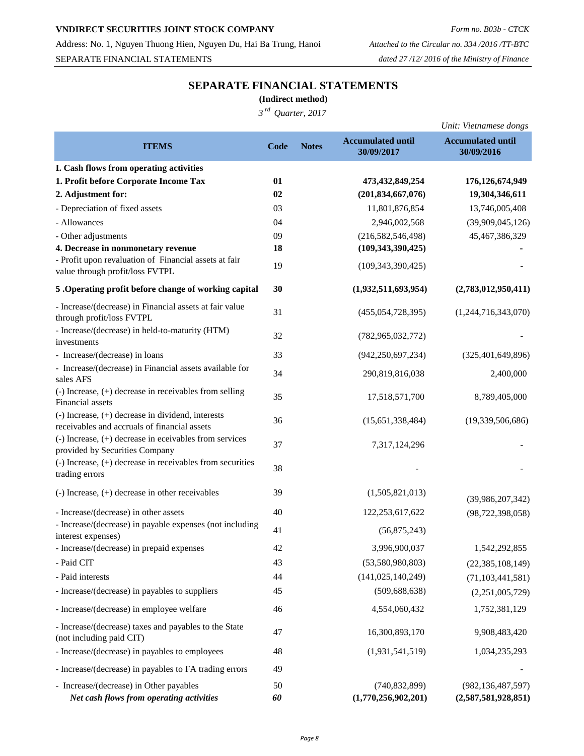### **VNDIRECT SECURITIES JOINT STOCK COMPANY** *Form no. B03b - CTCK*

Address: No. 1, Nguyen Thuong Hien, Nguyen Du, Hai Ba Trung, Hanoi *Attached to the Circular no. 334 /2016 /TT-BTC* SEPARATE FINANCIAL STATEMENTS *dated 27 /12/ 2016 of the Ministry of Finance*

# **SEPARATE FINANCIAL STATEMENTS**

**(Indirect method)**

*3 rd Quarter, 2017*

|                                                                                                                      |          |              |                                        | Unit: Vietnamese dongs                      |
|----------------------------------------------------------------------------------------------------------------------|----------|--------------|----------------------------------------|---------------------------------------------|
| <b>ITEMS</b>                                                                                                         | Code     | <b>Notes</b> | <b>Accumulated until</b>               | <b>Accumulated until</b>                    |
|                                                                                                                      |          |              | 30/09/2017                             | 30/09/2016                                  |
| I. Cash flows from operating activities                                                                              |          |              |                                        |                                             |
| 1. Profit before Corporate Income Tax                                                                                | 01       |              | 473, 432, 849, 254                     | 176, 126, 674, 949                          |
| 2. Adjustment for:                                                                                                   | 02       |              | (201, 834, 667, 076)                   | 19,304,346,611                              |
| - Depreciation of fixed assets                                                                                       | 03       |              | 11,801,876,854                         | 13,746,005,408                              |
| - Allowances                                                                                                         | 04       |              | 2,946,002,568                          | (39,909,045,126)                            |
| - Other adjustments                                                                                                  | 09       |              | (216, 582, 546, 498)                   | 45,467,386,329                              |
| 4. Decrease in nonmonetary revenue                                                                                   | 18       |              | (109, 343, 390, 425)                   |                                             |
| - Profit upon revaluation of Financial assets at fair<br>value through profit/loss FVTPL                             | 19       |              | (109, 343, 390, 425)                   |                                             |
| 5 .Operating profit before change of working capital                                                                 | 30       |              | (1,932,511,693,954)                    | (2,783,012,950,411)                         |
| - Increase/(decrease) in Financial assets at fair value<br>through profit/loss FVTPL                                 | 31       |              | (455, 054, 728, 395)                   | (1,244,716,343,070)                         |
| - Increase/(decrease) in held-to-maturity (HTM)<br>investments                                                       | 32       |              | (782, 965, 032, 772)                   |                                             |
| - Increase/(decrease) in loans                                                                                       | 33       |              | (942, 250, 697, 234)                   | (325, 401, 649, 896)                        |
| - Increase/(decrease) in Financial assets available for<br>sales AFS                                                 | 34       |              | 290,819,816,038                        | 2,400,000                                   |
| $\left( -\right)$ Increase, $\left( +\right)$ decrease in receivables from selling<br>Financial assets               | 35       |              | 17,518,571,700                         | 8,789,405,000                               |
| $(-)$ Increase, $(+)$ decrease in dividend, interests<br>receivables and accruals of financial assets                | 36       |              | (15,651,338,484)                       | (19,339,506,686)                            |
| $\left( -\right)$ Increase, $\left( +\right)$ decrease in eceivables from services<br>provided by Securities Company | 37       |              | 7,317,124,296                          |                                             |
| $(-)$ Increase, $(+)$ decrease in receivables from securities<br>trading errors                                      | 38       |              |                                        |                                             |
| $(-)$ Increase, $(+)$ decrease in other receivables                                                                  | 39       |              | (1,505,821,013)                        | (39,986,207,342)                            |
| - Increase/(decrease) in other assets                                                                                | 40       |              | 122,253,617,622                        | (98, 722, 398, 058)                         |
| - Increase/(decrease) in payable expenses (not including<br>interest expenses)                                       | 41       |              | (56,875,243)                           |                                             |
| - Increase/(decrease) in prepaid expenses                                                                            | 42       |              | 3,996,900,037                          | 1,542,292,855                               |
| - Paid CIT                                                                                                           | 43       |              | (53,580,980,803)                       | (22, 385, 108, 149)                         |
| - Paid interests                                                                                                     | 44       |              | (141, 025, 140, 249)                   | (71, 103, 441, 581)                         |
| - Increase/(decrease) in payables to suppliers                                                                       | 45       |              | (509, 688, 638)                        | (2,251,005,729)                             |
| - Increase/(decrease) in employee welfare                                                                            | 46       |              | 4,554,060,432                          | 1,752,381,129                               |
| - Increase/(decrease) taxes and payables to the State<br>(not including paid CIT)                                    | 47       |              | 16,300,893,170                         | 9,908,483,420                               |
| - Increase/(decrease) in payables to employees                                                                       | 48       |              | (1,931,541,519)                        | 1,034,235,293                               |
| - Increase/(decrease) in payables to FA trading errors                                                               | 49       |              |                                        |                                             |
| - Increase/(decrease) in Other payables<br>Net cash flows from operating activities                                  | 50<br>60 |              | (740, 832, 899)<br>(1,770,256,902,201) | (982, 136, 487, 597)<br>(2,587,581,928,851) |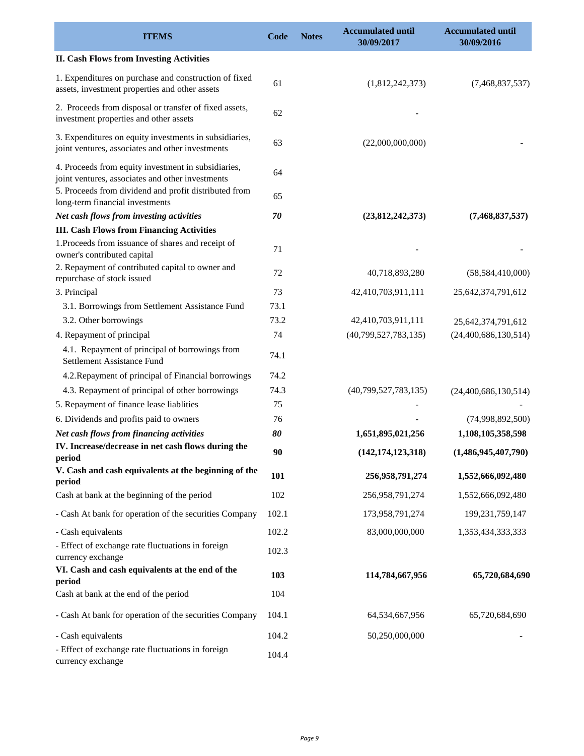| <b>ITEMS</b>                                                                                                                                                     | Code  | <b>Notes</b> | <b>Accumulated until</b><br>30/09/2017 | <b>Accumulated until</b><br>30/09/2016 |
|------------------------------------------------------------------------------------------------------------------------------------------------------------------|-------|--------------|----------------------------------------|----------------------------------------|
| <b>II. Cash Flows from Investing Activities</b>                                                                                                                  |       |              |                                        |                                        |
| 1. Expenditures on purchase and construction of fixed<br>assets, investment properties and other assets                                                          | 61    |              | (1,812,242,373)                        | (7,468,837,537)                        |
| 2. Proceeds from disposal or transfer of fixed assets,<br>investment properties and other assets                                                                 | 62    |              |                                        |                                        |
| 3. Expenditures on equity investments in subsidiaries,<br>joint ventures, associates and other investments                                                       | 63    |              | (22,000,000,000)                       |                                        |
| 4. Proceeds from equity investment in subsidiaries,<br>joint ventures, associates and other investments<br>5. Proceeds from dividend and profit distributed from | 64    |              |                                        |                                        |
| long-term financial investments                                                                                                                                  | 65    |              |                                        |                                        |
| Net cash flows from investing activities                                                                                                                         | 70    |              | (23,812,242,373)                       | (7,468,837,537)                        |
| <b>III. Cash Flows from Financing Activities</b>                                                                                                                 |       |              |                                        |                                        |
| 1. Proceeds from issuance of shares and receipt of<br>owner's contributed capital                                                                                | 71    |              |                                        |                                        |
| 2. Repayment of contributed capital to owner and<br>repurchase of stock issued                                                                                   | 72    |              | 40,718,893,280                         | (58, 584, 410, 000)                    |
| 3. Principal                                                                                                                                                     | 73    |              | 42,410,703,911,111                     | 25,642,374,791,612                     |
| 3.1. Borrowings from Settlement Assistance Fund                                                                                                                  | 73.1  |              |                                        |                                        |
| 3.2. Other borrowings                                                                                                                                            | 73.2  |              | 42,410,703,911,111                     | 25,642,374,791,612                     |
| 4. Repayment of principal                                                                                                                                        | 74    |              | (40,799,527,783,135)                   | (24,400,686,130,514)                   |
| 4.1. Repayment of principal of borrowings from<br>Settlement Assistance Fund                                                                                     | 74.1  |              |                                        |                                        |
| 4.2. Repayment of principal of Financial borrowings                                                                                                              | 74.2  |              |                                        |                                        |
| 4.3. Repayment of principal of other borrowings                                                                                                                  | 74.3  |              | (40,799,527,783,135)                   | (24,400,686,130,514)                   |
| 5. Repayment of finance lease liablities                                                                                                                         | 75    |              |                                        |                                        |
| 6. Dividends and profits paid to owners                                                                                                                          | 76    |              |                                        | (74,998,892,500)                       |
| Net cash flows from financing activities                                                                                                                         | 80    |              | 1,651,895,021,256                      | 1,108,105,358,598                      |
| IV. Increase/decrease in net cash flows during the<br>period                                                                                                     | 90    |              | (142, 174, 123, 318)                   | (1,486,945,407,790)                    |
| V. Cash and cash equivalents at the beginning of the<br>period                                                                                                   | 101   |              | 256,958,791,274                        | 1,552,666,092,480                      |
| Cash at bank at the beginning of the period                                                                                                                      | 102   |              | 256,958,791,274                        | 1,552,666,092,480                      |
| - Cash At bank for operation of the securities Company                                                                                                           | 102.1 |              | 173,958,791,274                        | 199,231,759,147                        |
| - Cash equivalents                                                                                                                                               | 102.2 |              | 83,000,000,000                         | 1,353,434,333,333                      |
| - Effect of exchange rate fluctuations in foreign<br>currency exchange                                                                                           | 102.3 |              |                                        |                                        |
| VI. Cash and cash equivalents at the end of the<br>period                                                                                                        | 103   |              | 114,784,667,956                        | 65,720,684,690                         |
| Cash at bank at the end of the period                                                                                                                            | 104   |              |                                        |                                        |
| - Cash At bank for operation of the securities Company                                                                                                           | 104.1 |              | 64,534,667,956                         | 65,720,684,690                         |
| - Cash equivalents                                                                                                                                               | 104.2 |              | 50,250,000,000                         |                                        |
| - Effect of exchange rate fluctuations in foreign<br>currency exchange                                                                                           | 104.4 |              |                                        |                                        |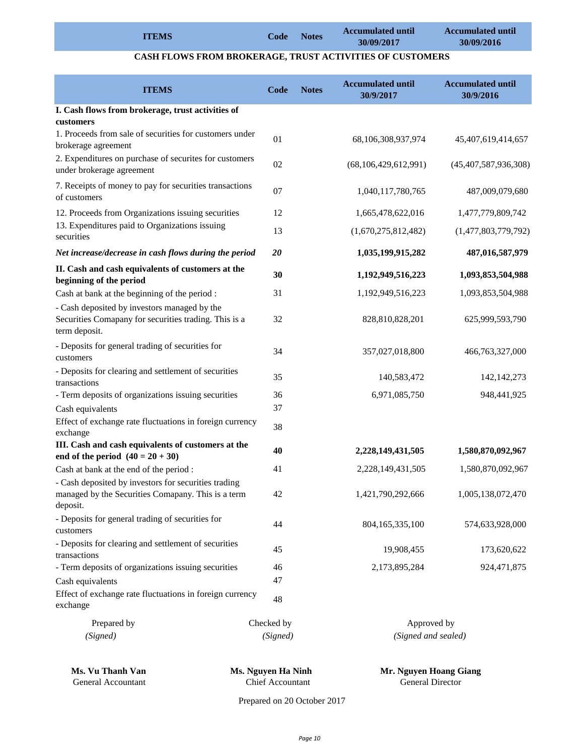|              |      |              | <b>Accumulated until</b> | <b>Accumulated until</b> |
|--------------|------|--------------|--------------------------|--------------------------|
| <b>ITEMS</b> | Code | <b>Notes</b> | 30/09/2017               | 30/09/2016               |

### **CASH FLOWS FROM BROKERAGE, TRUST ACTIVITIES OF CUSTOMERS**

| <b>ITEMS</b>                                                                                                           | Code       | <b>Notes</b> | <b>Accumulated until</b><br>30/9/2017 | <b>Accumulated until</b><br>30/9/2016 |
|------------------------------------------------------------------------------------------------------------------------|------------|--------------|---------------------------------------|---------------------------------------|
| I. Cash flows from brokerage, trust activities of                                                                      |            |              |                                       |                                       |
| customers                                                                                                              |            |              |                                       |                                       |
| 1. Proceeds from sale of securities for customers under<br>brokerage agreement                                         | 01         |              | 68,106,308,937,974                    | 45,407,619,414,657                    |
| 2. Expenditures on purchase of securites for customers<br>under brokerage agreement                                    | 02         |              | (68, 106, 429, 612, 991)              | (45,407,587,936,308)                  |
| 7. Receipts of money to pay for securities transactions<br>of customers                                                | 07         |              | 1,040,117,780,765                     | 487,009,079,680                       |
| 12. Proceeds from Organizations issuing securities                                                                     | 12         |              | 1,665,478,622,016                     | 1,477,779,809,742                     |
| 13. Expenditures paid to Organizations issuing<br>securities                                                           | 13         |              | (1,670,275,812,482)                   | (1,477,803,779,792)                   |
| Net increase/decrease in cash flows during the period                                                                  | 20         |              | 1,035,199,915,282                     | 487,016,587,979                       |
| II. Cash and cash equivalents of customers at the<br>beginning of the period                                           | 30         |              | 1,192,949,516,223                     | 1,093,853,504,988                     |
| Cash at bank at the beginning of the period :                                                                          | 31         |              | 1,192,949,516,223                     | 1,093,853,504,988                     |
| - Cash deposited by investors managed by the<br>Securities Comapany for securities trading. This is a<br>term deposit. | 32         |              | 828,810,828,201                       | 625,999,593,790                       |
| - Deposits for general trading of securities for<br>customers                                                          | 34         |              | 357,027,018,800                       | 466,763,327,000                       |
| - Deposits for clearing and settlement of securities<br>transactions                                                   | 35         |              | 140,583,472                           | 142, 142, 273                         |
| - Term deposits of organizations issuing securities                                                                    | 36         |              | 6,971,085,750                         | 948, 441, 925                         |
| Cash equivalents                                                                                                       | 37         |              |                                       |                                       |
| Effect of exchange rate fluctuations in foreign currency<br>exchange                                                   | 38         |              |                                       |                                       |
| III. Cash and cash equivalents of customers at the<br>end of the period $(40 = 20 + 30)$                               | 40         |              | 2,228,149,431,505                     | 1,580,870,092,967                     |
| Cash at bank at the end of the period :                                                                                | 41         |              | 2,228,149,431,505                     | 1,580,870,092,967                     |
| - Cash deposited by investors for securities trading<br>managed by the Securities Comapany. This is a term<br>deposit. | 42         |              | 1,421,790,292,666                     | 1,005,138,072,470                     |
| - Deposits for general trading of securities for<br>customers                                                          | 44         |              | 804,165,335,100                       | 574,633,928,000                       |
| - Deposits for clearing and settlement of securities<br>transactions                                                   | 45         |              | 19,908,455                            | 173,620,622                           |
| - Term deposits of organizations issuing securities                                                                    | 46         |              | 2,173,895,284                         | 924,471,875                           |
| Cash equivalents                                                                                                       | 47         |              |                                       |                                       |
| Effect of exchange rate fluctuations in foreign currency<br>exchange                                                   | 48         |              |                                       |                                       |
| Prepared by                                                                                                            | Checked by |              | Approved by                           |                                       |
| (Signed)                                                                                                               | (Signed)   |              | (Signed and sealed)                   |                                       |

**Ms. Vu Thanh Van Ms. Nguyen Ha Ninh Mr. Nguyen Hoang Giang** General Accountant Chief Accountant General Director

Prepared on 20 October 2017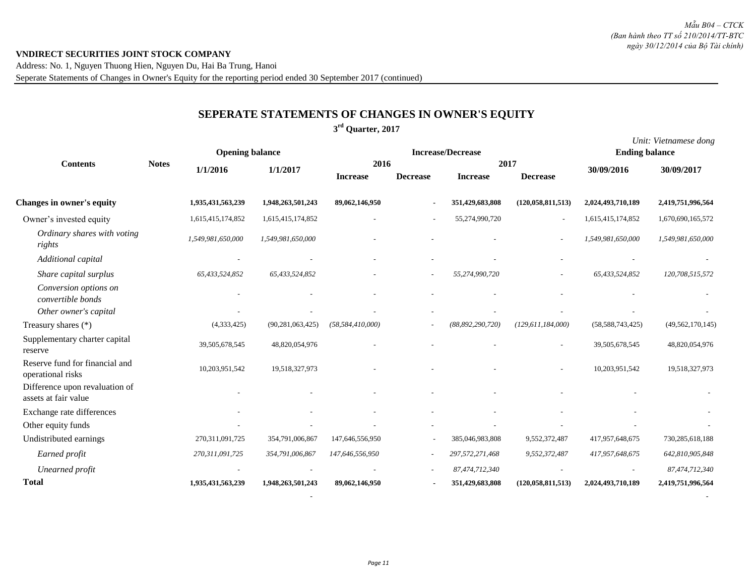Address: No. 1, Nguyen Thuong Hien, Nguyen Du, Hai Ba Trung, Hanoi Seperate Statements of Changes in Owner's Equity for the reporting period ended 30 September 2017 (continued)

# **SEPERATE STATEMENTS OF CHANGES IN OWNER'S EQUITY**

### **3 rd Quarter, 2017**

|                                                        |                        |                    |                     |                          |                          |                     |                      |                       | Unit: Vietnamese dong |
|--------------------------------------------------------|------------------------|--------------------|---------------------|--------------------------|--------------------------|---------------------|----------------------|-----------------------|-----------------------|
|                                                        | <b>Opening balance</b> |                    |                     | <b>Increase/Decrease</b> |                          |                     |                      | <b>Ending balance</b> |                       |
| <b>Contents</b>                                        | <b>Notes</b>           | 1/1/2016           | 1/1/2017            | 2016                     |                          |                     | 2017                 | 30/09/2016            | 30/09/2017            |
|                                                        |                        |                    |                     | <b>Increase</b>          | <b>Decrease</b>          | <b>Increase</b>     | <b>Decrease</b>      |                       |                       |
| <b>Changes in owner's equity</b>                       |                        | 1,935,431,563,239  | 1,948,263,501,243   | 89,062,146,950           |                          | 351,429,683,808     | (120, 058, 811, 513) | 2,024,493,710,189     | 2,419,751,996,564     |
| Owner's invested equity                                |                        | 1,615,415,174,852  | 1,615,415,174,852   |                          |                          | 55,274,990,720      | $\sim$               | 1,615,415,174,852     | 1,670,690,165,572     |
| Ordinary shares with voting<br>rights                  |                        | 1,549,981,650,000  | 1,549,981,650,000   |                          |                          |                     |                      | 1,549,981,650,000     | 1,549,981,650,000     |
| Additional capital                                     |                        |                    |                     |                          |                          |                     |                      |                       |                       |
| Share capital surplus                                  |                        | 65,433,524,852     | 65,433,524,852      |                          | $\tilde{\phantom{a}}$    | 55,274,990,720      |                      | 65,433,524,852        | 120,708,515,572       |
| Conversion options on<br>convertible bonds             |                        |                    |                     |                          |                          |                     |                      |                       |                       |
| Other owner's capital                                  |                        |                    |                     |                          |                          |                     |                      |                       |                       |
| Treasury shares (*)                                    |                        | (4,333,425)        | (90, 281, 063, 425) | (58, 584, 410, 000)      |                          | (88, 892, 290, 720) | (129, 611, 184, 000) | (58, 588, 743, 425)   | (49, 562, 170, 145)   |
| Supplementary charter capital<br>reserve               |                        | 39,505,678,545     | 48,820,054,976      |                          |                          |                     |                      | 39,505,678,545        | 48,820,054,976        |
| Reserve fund for financial and<br>operational risks    |                        | 10,203,951,542     | 19,518,327,973      |                          |                          |                     |                      | 10,203,951,542        | 19,518,327,973        |
| Difference upon revaluation of<br>assets at fair value |                        |                    |                     |                          |                          |                     |                      |                       |                       |
| Exchange rate differences                              |                        |                    |                     |                          |                          |                     |                      |                       |                       |
| Other equity funds                                     |                        |                    |                     |                          |                          |                     |                      |                       |                       |
| Undistributed earnings                                 |                        | 270, 311, 091, 725 | 354,791,006,867     | 147,646,556,950          |                          | 385,046,983,808     | 9,552,372,487        | 417,957,648,675       | 730,285,618,188       |
| Earned profit                                          |                        | 270,311,091,725    | 354,791,006,867     | 147,646,556,950          | $\overline{\phantom{a}}$ | 297,572,271,468     | 9,552,372,487        | 417,957,648,675       | 642,810,905,848       |
| Unearned profit                                        |                        |                    |                     |                          | $\overline{\phantom{a}}$ | 87,474,712,340      |                      |                       | 87,474,712,340        |
| <b>Total</b>                                           |                        | 1,935,431,563,239  | 1,948,263,501,243   | 89,062,146,950           |                          | 351,429,683,808     | (120, 058, 811, 513) | 2,024,493,710,189     | 2,419,751,996,564     |

 *- -*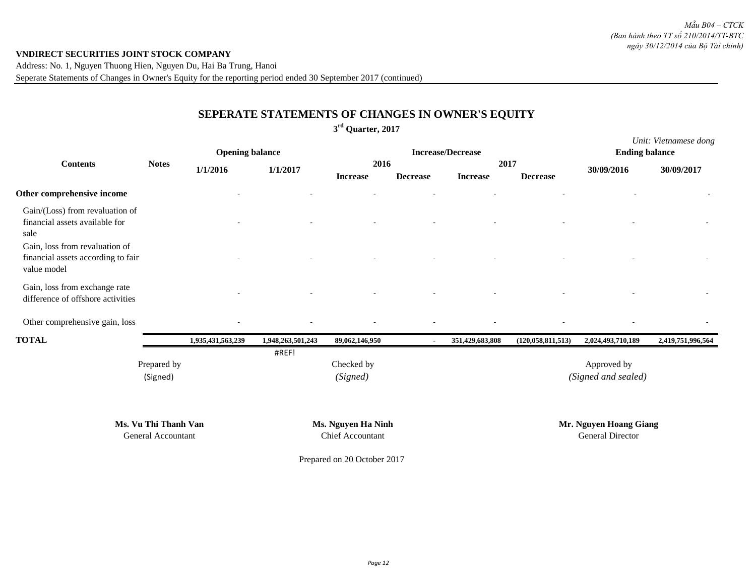Address: No. 1, Nguyen Thuong Hien, Nguyen Du, Hai Ba Trung, Hanoi Seperate Statements of Changes in Owner's Equity for the reporting period ended 30 September 2017 (continued)

# **SEPERATE STATEMENTS OF CHANGES IN OWNER'S EQUITY**

### **3 rd Quarter, 2017**

|                                                                                     |                         | <b>Opening balance</b> |                   |                         |                 | <b>Increase/Decrease</b> |                      | <b>Ending balance</b>              | Unit: Vietnamese dong |
|-------------------------------------------------------------------------------------|-------------------------|------------------------|-------------------|-------------------------|-----------------|--------------------------|----------------------|------------------------------------|-----------------------|
| <b>Contents</b>                                                                     | <b>Notes</b>            | 1/1/2016               | 1/1/2017          | 2016<br><b>Increase</b> | <b>Decrease</b> | 2017<br><b>Increase</b>  | <b>Decrease</b>      | 30/09/2016                         | 30/09/2017            |
| Other comprehensive income                                                          |                         |                        |                   |                         |                 |                          |                      |                                    |                       |
| Gain/(Loss) from revaluation of<br>financial assets available for<br>sale           |                         |                        |                   |                         |                 |                          |                      |                                    |                       |
| Gain, loss from revaluation of<br>financial assets according to fair<br>value model |                         |                        |                   |                         |                 |                          |                      |                                    |                       |
| Gain, loss from exchange rate<br>difference of offshore activities                  |                         |                        |                   |                         |                 |                          |                      |                                    |                       |
| Other comprehensive gain, loss                                                      |                         |                        |                   |                         |                 |                          |                      |                                    |                       |
| <b>TOTAL</b>                                                                        |                         | 1,935,431,563,239      | 1,948,263,501,243 | 89,062,146,950          | $\blacksquare$  | 351,429,683,808          | (120, 058, 811, 513) | 2,024,493,710,189                  | 2,419,751,996,564     |
|                                                                                     | Prepared by<br>(Signed) |                        | #REF!             | Checked by<br>(Signed)  |                 |                          |                      | Approved by<br>(Signed and sealed) |                       |

**Ms. Vu Thi Thanh Van Ms. Nguyen Ha Ninh Mr. Nguyen Hoang Giang**

General Accountant Chief Accountant General Director

Prepared on 20 October 2017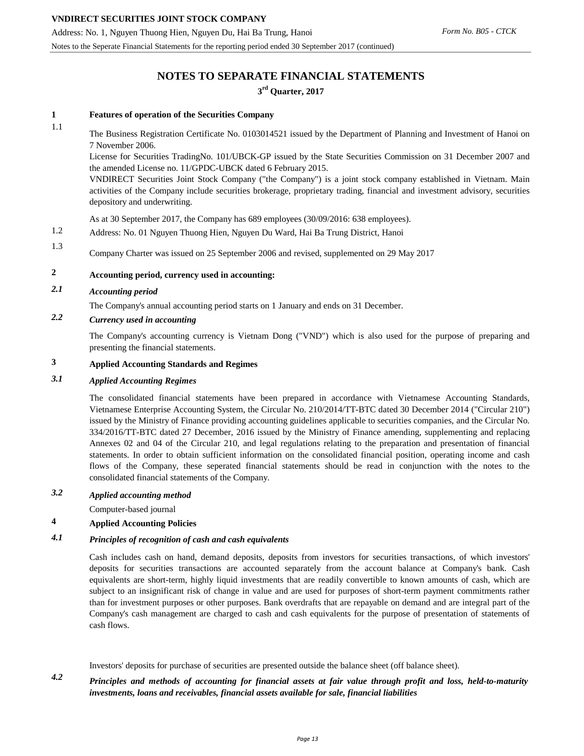Address: No. 1, Nguyen Thuong Hien, Nguyen Du, Hai Ba Trung, Hanoi Notes to the Seperate Financial Statements for the reporting period ended 30 September 2017 (continued)

# **NOTES TO SEPARATE FINANCIAL STATEMENTS 3 rd Quarter, 2017**

#### **1 Features of operation of the Securities Company**

#### 1.1

The Business Registration Certificate No. 0103014521 issued by the Department of Planning and Investment of Hanoi on 7 November 2006.

License for Securities TradingNo. 101/UBCK-GP issued by the State Securities Commission on 31 December 2007 and the amended License no. 11/GPDC-UBCK dated 6 February 2015.

VNDIRECT Securities Joint Stock Company ("the Company") is a joint stock company established in Vietnam. Main activities of the Company include securities brokerage, proprietary trading, financial and investment advisory, securities depository and underwriting.

As at 30 September 2017, the Company has 689 employees (30/09/2016: 638 employees).

1.2 Address: No. 01 Nguyen Thuong Hien, Nguyen Du Ward, Hai Ba Trung District, Hanoi

1.3 Company Charter was issued on 25 September 2006 and revised, supplemented on 29 May 2017

# **2 Accounting period, currency used in accounting:**

## *2.1 Accounting period*

The Company's annual accounting period starts on 1 January and ends on 31 December.

# *2.2 Currency used in accounting*

The Company's accounting currency is Vietnam Dong ("VND") which is also used for the purpose of preparing and presenting the financial statements.

#### **3 Applied Accounting Standards and Regimes**

#### *3.1 Applied Accounting Regimes*

The consolidated financial statements have been prepared in accordance with Vietnamese Accounting Standards, Vietnamese Enterprise Accounting System, the Circular No. 210/2014/TT-BTC dated 30 December 2014 ("Circular 210") issued by the Ministry of Finance providing accounting guidelines applicable to securities companies, and the Circular No. 334/2016/TT-BTC dated 27 December, 2016 issued by the Ministry of Finance amending, supplementing and replacing Annexes 02 and 04 of the Circular 210, and legal regulations relating to the preparation and presentation of financial statements. In order to obtain sufficient information on the consolidated financial position, operating income and cash flows of the Company, these seperated financial statements should be read in conjunction with the notes to the consolidated financial statements of the Company.

#### *3.2 Applied accounting method*

Computer-based journal

#### **4 Applied Accounting Policies**

#### *4.1 Principles of recognition of cash and cash equivalents*

Cash includes cash on hand, demand deposits, deposits from investors for securities transactions, of which investors' deposits for securities transactions are accounted separately from the account balance at Company's bank. Cash equivalents are short-term, highly liquid investments that are readily convertible to known amounts of cash, which are subject to an insignificant risk of change in value and are used for purposes of short-term payment commitments rather than for investment purposes or other purposes. Bank overdrafts that are repayable on demand and are integral part of the Company's cash management are charged to cash and cash equivalents for the purpose of presentation of statements of cash flows.

Investors' deposits for purchase of securities are presented outside the balance sheet (off balance sheet).

*4.2* Principles and methods of accounting for financial assets at fair value through profit and loss, held-to-maturity *investments, loans and receivables, financial assets available for sale, financial liabilities*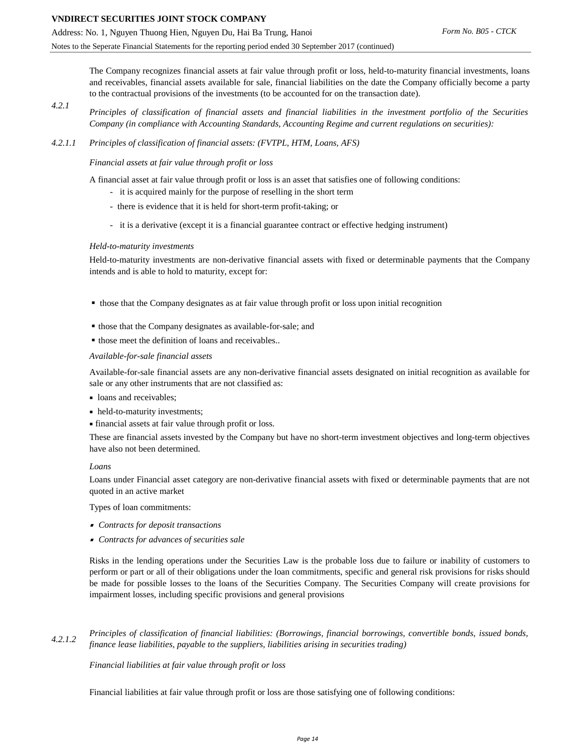The Company recognizes financial assets at fair value through profit or loss, held-to-maturity financial investments, loans and receivables, financial assets available for sale, financial liabilities on the date the Company officially become a party to the contractual provisions of the investments (to be accounted for on the transaction date).

- *4.2.1* Principles of classification of financial assets and financial liabilities in the investment portfolio of the Securities *Company (in compliance with Accounting Standards, Accounting Regime and current regulations on securities):*
- *4.2.1.1 Principles of classification of financial assets: (FVTPL, HTM, Loans, AFS)*

*Financial assets at fair value through profit or loss*

A financial asset at fair value through profit or loss is an asset that satisfies one of following conditions:

- it is acquired mainly for the purpose of reselling in the short term
- there is evidence that it is held for short-term profit-taking; or
- it is a derivative (except it is a financial guarantee contract or effective hedging instrument)

#### *Held-to-maturity investments*

Held-to-maturity investments are non-derivative financial assets with fixed or determinable payments that the Company intends and is able to hold to maturity, except for:

- those that the Company designates as at fair value through profit or loss upon initial recognition
- those that the Company designates as available-for-sale; and
- those meet the definition of loans and receivables..

#### *Available-for-sale financial assets*

Available-for-sale financial assets are any non-derivative financial assets designated on initial recognition as available for sale or any other instruments that are not classified as:

- **loans** and receivables;
- held-to-maturity investments;
- financial assets at fair value through profit or loss.

These are financial assets invested by the Company but have no short-term investment objectives and long-term objectives have also not been determined.

#### *Loans*

Loans under Financial asset category are non-derivative financial assets with fixed or determinable payments that are not quoted in an active market

Types of loan commitments:

- *Contracts for deposit transactions*
- *Contracts for advances of securities sale*

Risks in the lending operations under the Securities Law is the probable loss due to failure or inability of customers to perform or part or all of their obligations under the loan commitments, specific and general risk provisions for risks should be made for possible losses to the loans of the Securities Company. The Securities Company will create provisions for impairment losses, including specific provisions and general provisions

*4.2.1.2 Principles of classification of financial liabilities: (Borrowings, financial borrowings, convertible bonds, issued bonds, finance lease liabilities, payable to the suppliers, liabilities arising in securities trading)*

#### *Financial liabilities at fair value through profit or loss*

Financial liabilities at fair value through profit or loss are those satisfying one of following conditions: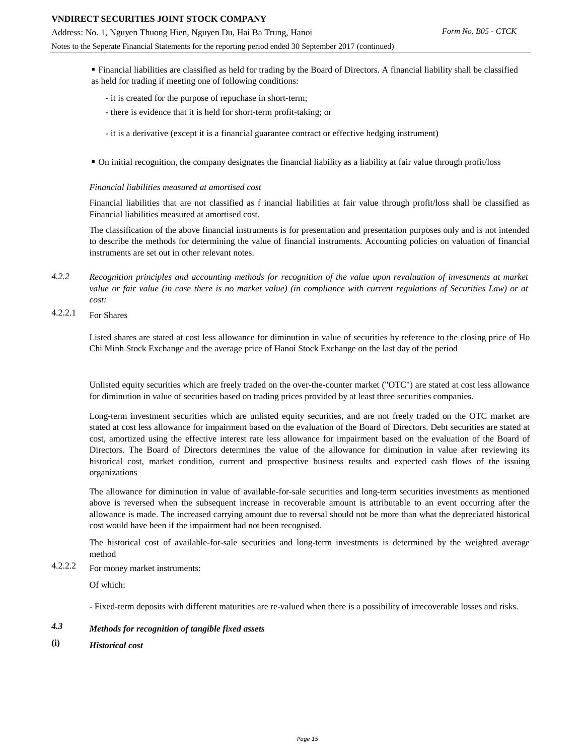- Financial liabilities are classified as held for trading by the Board of Directors. A financial liability shall be classified as held for trading if meeting one of following conditions:
	- it is created for the purpose of repuchase in short-term;
	- there is evidence that it is held for short-term profit-taking; or
	- it is a derivative (except it is a financial guarantee contract or effective hedging instrument)
- On initial recognition, the company designates the financial liability as a liability at fair value through profit/loss

#### *Financial liabilities measured at amortised cost*

Financial liabilities that are not classified as f inancial liabilities at fair value through profit/loss shall be classified as Financial liabilities measured at amortised cost.

The classification of the above financial instruments is for presentation and presentation purposes only and is not intended to describe the methods for determining the value of financial instruments. Accounting policies on valuation of financial instruments are set out in other relevant notes.

- *4.2.2* Recognition principles and accounting methods for recognition of the value upon revaluation of investments at market value or fair value (in case there is no market value) (in compliance with current regulations of Securities Law) or at *cost:*
- 4.2.2.1 For Shares

Listed shares are stated at cost less allowance for diminution in value of securities by reference to the closing price of Ho Chi Minh Stock Exchange and the average price of Hanoi Stock Exchange on the last day of the period

Unlisted equity securities which are freely traded on the over-the-counter market ("OTC") are stated at cost less allowance for diminution in value of securities based on trading prices provided by at least three securities companies.

Long-term investment securities which are unlisted equity securities, and are not freely traded on the OTC market are stated at cost less allowance for impairment based on the evaluation of the Board of Directors. Debt securities are stated at cost, amortized using the effective interest rate less allowance for impairment based on the evaluation of the Board of Directors. The Board of Directors determines the value of the allowance for diminution in value after reviewing its historical cost, market condition, current and prospective business results and expected cash flows of the issuing organizations

The allowance for diminution in value of available-for-sale securities and long-term securities investments as mentioned above is reversed when the subsequent increase in recoverable amount is attributable to an event occurring after the allowance is made. The increased carrying amount due to reversal should not be more than what the depreciated historical cost would have been if the impairment had not been recognised.

The historical cost of available-for-sale securities and long-term investments is determined by the weighted average method

4.2.2.2 For money market instruments:

Of which:

- Fixed-term deposits with different maturities are re-valued when there is a possibility of irrecoverable losses and risks.

# *4.3 Methods for recognition of tangible fixed assets*

**(i)** *Historical cost*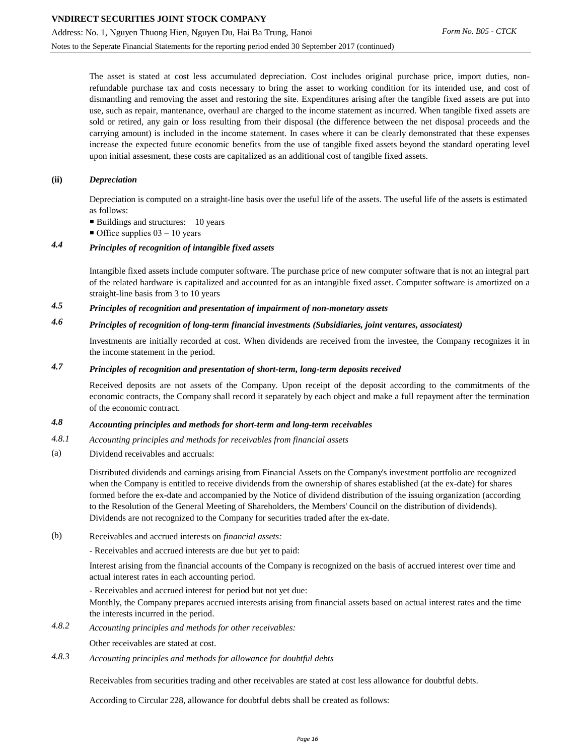The asset is stated at cost less accumulated depreciation. Cost includes original purchase price, import duties, nonrefundable purchase tax and costs necessary to bring the asset to working condition for its intended use, and cost of dismantling and removing the asset and restoring the site. Expenditures arising after the tangible fixed assets are put into use, such as repair, mantenance, overhaul are charged to the income statement as incurred. When tangible fixed assets are sold or retired, any gain or loss resulting from their disposal (the difference between the net disposal proceeds and the carrying amount) is included in the income statement. In cases where it can be clearly demonstrated that these expenses increase the expected future economic benefits from the use of tangible fixed assets beyond the standard operating level upon initial assesment, these costs are capitalized as an additional cost of tangible fixed assets.

#### **(ii)** *Depreciation*

Depreciation is computed on a straight-line basis over the useful life of the assets. The useful life of the assets is estimated as follows:

- Buildings and structures: 10 years
- $\blacksquare$  Office supplies 03 10 years

# *4.4 Principles of recognition of intangible fixed assets*

Intangible fixed assets include computer software. The purchase price of new computer software that is not an integral part of the related hardware is capitalized and accounted for as an intangible fixed asset. Computer software is amortized on a straight-line basis from 3 to 10 years

*4.5 Principles of recognition and presentation of impairment of non-monetary assets*

# *4.6 Principles of recognition of long-term financial investments (Subsidiaries, joint ventures, associatest)*

Investments are initially recorded at cost. When dividends are received from the investee, the Company recognizes it in the income statement in the period.

# *4.7 Principles of recognition and presentation of short-term, long-term deposits received*

Received deposits are not assets of the Company. Upon receipt of the deposit according to the commitments of the economic contracts, the Company shall record it separately by each object and make a full repayment after the termination of the economic contract.

#### *4.8 Accounting principles and methods for short-term and long-term receivables*

- *4.8.1 Accounting principles and methods for receivables from financial assets*
- (a) Dividend receivables and accruals:

Distributed dividends and earnings arising from Financial Assets on the Company's investment portfolio are recognized when the Company is entitled to receive dividends from the ownership of shares established (at the ex-date) for shares formed before the ex-date and accompanied by the Notice of dividend distribution of the issuing organization (according to the Resolution of the General Meeting of Shareholders, the Members' Council on the distribution of dividends). Dividends are not recognized to the Company for securities traded after the ex-date.

(b) Receivables and accrued interests on *financial assets:*

- Receivables and accrued interests are due but yet to paid:

Interest arising from the financial accounts of the Company is recognized on the basis of accrued interest over time and actual interest rates in each accounting period.

- Receivables and accrued interest for period but not yet due:

Monthly, the Company prepares accrued interests arising from financial assets based on actual interest rates and the time the interests incurred in the period.

*4.8.2 Accounting principles and methods for other receivables:*

Other receivables are stated at cost.

*4.8.3 Accounting principles and methods for allowance for doubtful debts*

Receivables from securities trading and other receivables are stated at cost less allowance for doubtful debts.

According to Circular 228, allowance for doubtful debts shall be created as follows: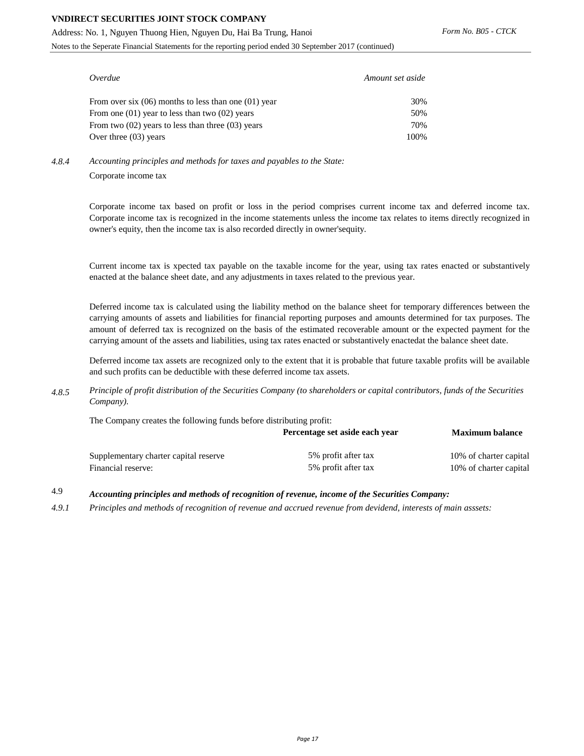Address: No. 1, Nguyen Thuong Hien, Nguyen Du, Hai Ba Trung, Hanoi

Notes to the Seperate Financial Statements for the reporting period ended 30 September 2017 (continued)

| Overdue                                                  | Amount set aside |
|----------------------------------------------------------|------------------|
| From over six $(06)$ months to less than one $(01)$ year | 30%              |
| From one $(01)$ year to less than two $(02)$ years       | 50%              |
| From two $(02)$ years to less than three $(03)$ years    | 70%              |
| Over three $(03)$ years                                  | 100%             |

*4.8.4* Corporate income tax *Accounting principles and methods for taxes and payables to the State:*

> Corporate income tax based on profit or loss in the period comprises current income tax and deferred income tax. Corporate income tax is recognized in the income statements unless the income tax relates to items directly recognized in owner's equity, then the income tax is also recorded directly in owner'sequity.

> Current income tax is xpected tax payable on the taxable income for the year, using tax rates enacted or substantively enacted at the balance sheet date, and any adjustments in taxes related to the previous year.

> Deferred income tax is calculated using the liability method on the balance sheet for temporary differences between the carrying amounts of assets and liabilities for financial reporting purposes and amounts determined for tax purposes. The amount of deferred tax is recognized on the basis of the estimated recoverable amount or the expected payment for the carrying amount of the assets and liabilities, using tax rates enacted or substantively enactedat the balance sheet date.

> Deferred income tax assets are recognized only to the extent that it is probable that future taxable profits will be available and such profits can be deductible with these deferred income tax assets.

*4.8.5 Principle of profit distribution of the Securities Company (to shareholders or capital contributors, funds of the Securities Company).*

The Company creates the following funds before distributing profit:

|                                       | Percentage set aside each year | <b>Maximum balance</b> |  |
|---------------------------------------|--------------------------------|------------------------|--|
| Supplementary charter capital reserve | 5% profit after tax            | 10% of charter capital |  |
| Financial reserve:                    | 5% profit after tax            | 10% of charter capital |  |

- 4.9 *Accounting principles and methods of recognition of revenue, income of the Securities Company:*
- *4.9.1 Principles and methods of recognition of revenue and accrued revenue from devidend, interests of main asssets:*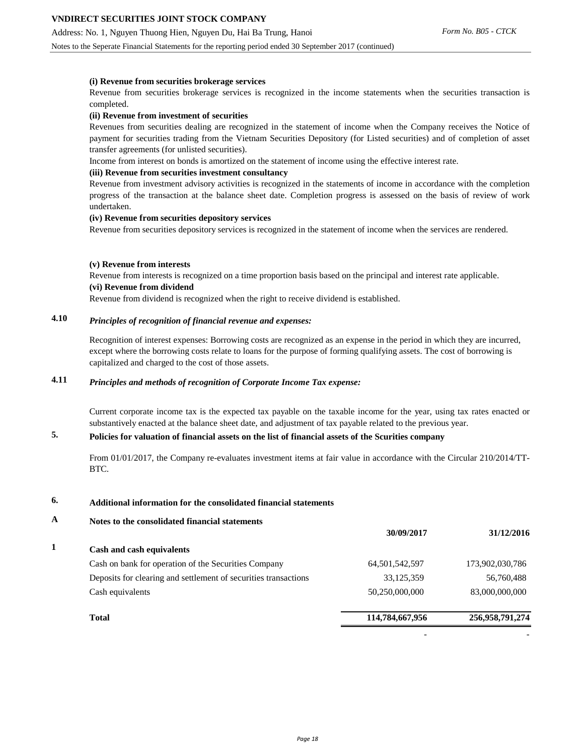Notes to the Seperate Financial Statements for the reporting period ended 30 September 2017 (continued)

### **(i) Revenue from securities brokerage services**

Revenue from securities brokerage services is recognized in the income statements when the securities transaction is completed.

#### **(ii) Revenue from investment of securities**

Revenues from securities dealing are recognized in the statement of income when the Company receives the Notice of payment for securities trading from the Vietnam Securities Depository (for Listed securities) and of completion of asset transfer agreements (for unlisted securities).

Income from interest on bonds is amortized on the statement of income using the effective interest rate.

#### **(iii) Revenue from securities investment consultancy**

Revenue from investment advisory activities is recognized in the statements of income in accordance with the completion progress of the transaction at the balance sheet date. Completion progress is assessed on the basis of review of work undertaken.

#### **(iv) Revenue from securities depository services**

Revenue from securities depository services is recognized in the statement of income when the services are rendered.

#### **(v) Revenue from interests**

Revenue from interests is recognized on a time proportion basis based on the principal and interest rate applicable. **(vi) Revenue from dividend**

Revenue from dividend is recognized when the right to receive dividend is established.

# **4.10** *Principles of recognition of financial revenue and expenses:*

Recognition of interest expenses: Borrowing costs are recognized as an expense in the period in which they are incurred, except where the borrowing costs relate to loans for the purpose of forming qualifying assets. The cost of borrowing is capitalized and charged to the cost of those assets.

# **4.11** *Principles and methods of recognition of Corporate Income Tax expense:*

Current corporate income tax is the expected tax payable on the taxable income for the year, using tax rates enacted or substantively enacted at the balance sheet date, and adjustment of tax payable related to the previous year.

#### **5. Policies for valuation of financial assets on the list of financial assets of the Scurities company**

From 01/01/2017, the Company re-evaluates investment items at fair value in accordance with the Circular 210/2014/TT-BTC.

## **6. Additional information for the consolidated financial statements**

### **A Notes to the consolidated financial statements**

|                                                                 | 30/09/2017        | 31/12/2016      |
|-----------------------------------------------------------------|-------------------|-----------------|
| Cash and cash equivalents                                       |                   |                 |
| Cash on bank for operation of the Securities Company            | 64, 501, 542, 597 | 173,902,030,786 |
| Deposits for clearing and settlement of securities transactions | 33,125,359        | 56,760,488      |
| Cash equivalents                                                | 50,250,000,000    | 83,000,000,000  |
| <b>Total</b>                                                    | 114,784,667,956   | 256,958,791,274 |
|                                                                 |                   |                 |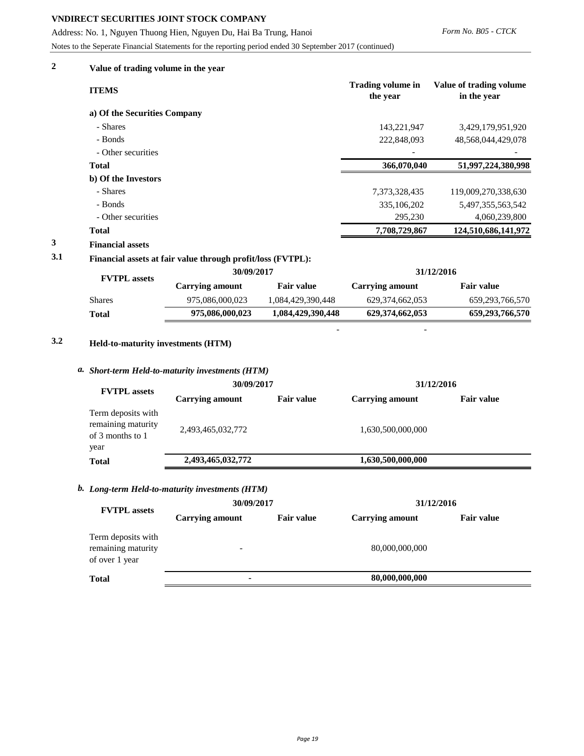Address: No. 1, Nguyen Thuong Hien, Nguyen Du, Hai Ba Trung, Hanoi

Notes to the Seperate Financial Statements for the reporting period ended 30 September 2017 (continued)

# **2 Value of trading volume in the year**

|     | <b>ITEMS</b>                                                |            | <b>Trading volume in</b><br>the year | Value of trading volume<br>in the year |
|-----|-------------------------------------------------------------|------------|--------------------------------------|----------------------------------------|
|     | a) Of the Securities Company                                |            |                                      |                                        |
|     | - Shares                                                    |            | 143,221,947                          | 3,429,179,951,920                      |
|     | - Bonds                                                     |            | 222,848,093                          | 48,568,044,429,078                     |
|     | - Other securities                                          |            |                                      |                                        |
|     | <b>Total</b>                                                |            | 366,070,040                          | 51,997,224,380,998                     |
|     | b) Of the Investors                                         |            |                                      |                                        |
|     | - Shares                                                    |            | 7,373,328,435                        | 119,009,270,338,630                    |
|     | - Bonds                                                     |            | 335, 106, 202                        | 5,497,355,563,542                      |
|     | - Other securities                                          |            | 295,230                              | 4,060,239,800                          |
|     | <b>Total</b>                                                |            | 7,708,729,867                        | 124,510,686,141,972                    |
| 3   | <b>Financial assets</b>                                     |            |                                      |                                        |
| 3.1 | Financial assets at fair value through profit/loss (FVTPL): |            |                                      |                                        |
|     | <b>THE TENTAL</b>                                           | 30/09/2017 |                                      | 31/12/2016                             |

| <b>FVTPL</b> assets |                 |                   |                        |                    |  |
|---------------------|-----------------|-------------------|------------------------|--------------------|--|
|                     | Carrying amount | <b>Fair value</b> | <b>Carrying amount</b> | <b>Fair value</b>  |  |
| <b>Shares</b>       | 975,086,000,023 | 1,084,429,390,448 | 629, 374, 662, 053     | 659, 293, 766, 570 |  |
| <b>Total</b>        | 975,086,000,023 | 1,084,429,390,448 | 629,374,662,053        | 659, 293, 766, 570 |  |
|                     |                 |                   |                        |                    |  |

- -

# **3.2 Held-to-maturity investments (HTM)**

#### *a. Short-term Held-to-maturity investments (HTM)*

|                                                                      | 30/09/2017             |                   | 31/12/2016             |                   |  |
|----------------------------------------------------------------------|------------------------|-------------------|------------------------|-------------------|--|
| <b>FVTPL</b> assets                                                  | <b>Carrying amount</b> | <b>Fair value</b> | <b>Carrying amount</b> | <b>Fair value</b> |  |
| Term deposits with<br>remaining maturity<br>of 3 months to 1<br>year | 2,493,465,032,772      |                   | 1,630,500,000,000      |                   |  |
| <b>Total</b>                                                         | 2,493,465,032,772      |                   | 1,630,500,000,000      |                   |  |
|                                                                      |                        |                   |                        |                   |  |

### *b. Long-term Held-to-maturity investments (HTM)*

| <b>FVTPL</b> assets                                        | 30/09/2017               |                   | 31/12/2016             |                   |  |
|------------------------------------------------------------|--------------------------|-------------------|------------------------|-------------------|--|
|                                                            | <b>Carrying amount</b>   | <b>Fair value</b> | <b>Carrying amount</b> | <b>Fair value</b> |  |
| Term deposits with<br>remaining maturity<br>of over 1 year | $\overline{\phantom{0}}$ |                   | 80,000,000,000         |                   |  |
| <b>Total</b>                                               |                          |                   | 80,000,000,000         |                   |  |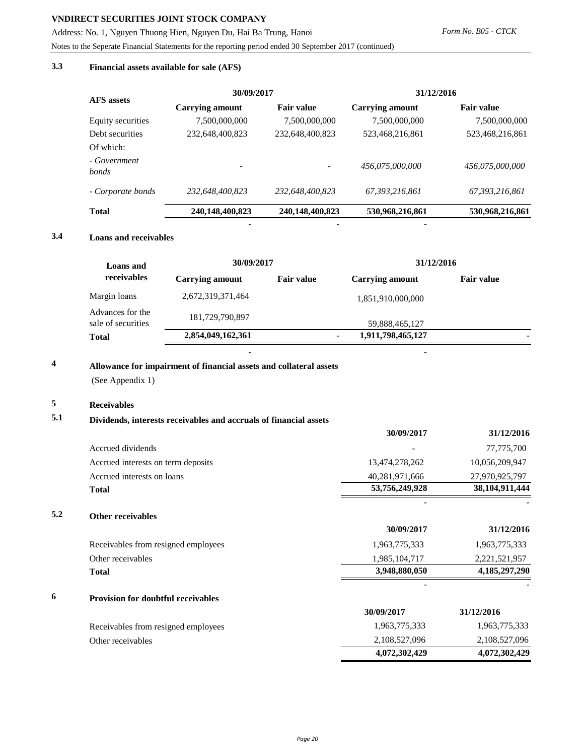Address: No. 1, Nguyen Thuong Hien, Nguyen Du, Hai Ba Trung, Hanoi

Notes to the Seperate Financial Statements for the reporting period ended 30 September 2017 (continued)

# **3.3 Financial assets available for sale (AFS)**

| Form No. B05 - CTCK |  |
|---------------------|--|
|                     |  |

| <b>AFS</b> assets     | 30/09/2017               |                   | 31/12/2016             |                   |
|-----------------------|--------------------------|-------------------|------------------------|-------------------|
|                       | <b>Carrying amount</b>   | <b>Fair value</b> | <b>Carrying amount</b> | <b>Fair value</b> |
| Equity securities     | 7,500,000,000            | 7,500,000,000     | 7,500,000,000          | 7,500,000,000     |
| Debt securities       | 232,648,400,823          | 232,648,400,823   | 523,468,216,861        | 523,468,216,861   |
| Of which:             |                          |                   |                        |                   |
| - Government<br>bonds | $\overline{\phantom{a}}$ |                   | 456.075.000.000        | 456,075,000,000   |
| - Corporate bonds     | 232,648,400,823          | 232.648.400.823   | 67, 393, 216, 861      | 67,393,216,861    |
| <b>Total</b>          | 240,148,400,823          | 240,148,400,823   | 530,968,216,861        | 530,968,216,861   |

# **3.4 Loans and receivables**

| <b>Loans and</b>                       | 30/09/2017        |                   | 31/12/2016             |                   |
|----------------------------------------|-------------------|-------------------|------------------------|-------------------|
| receivables                            | Carrying amount   | <b>Fair value</b> | <b>Carrying amount</b> | <b>Fair value</b> |
| Margin loans                           | 2,672,319,371,464 |                   | 1,851,910,000,000      |                   |
| Advances for the<br>sale of securities | 181,729,790,897   |                   | 59,888,465,127         |                   |
| <b>Total</b>                           | 2,854,049,162,361 |                   | 1,911,798,465,127      |                   |

- - -

- -

# **4 Allowance for impairment of financial assets and collateral assets**

(See Appendix 1)

# **5 Receivables**

**5.2**

#### **5.1 Dividends, interests receivables and accruals of financial assets**

|                                           | 30/09/2017     | 31/12/2016       |
|-------------------------------------------|----------------|------------------|
| Accrued dividends                         |                | 77,775,700       |
| Accrued interests on term deposits        | 13,474,278,262 | 10,056,209,947   |
| Accrued interests on loans                | 40,281,971,666 | 27,970,925,797   |
| <b>Total</b>                              | 53,756,249,928 | 38,104,911,444   |
| <b>Other receivables</b>                  |                |                  |
|                                           | 30/09/2017     | 31/12/2016       |
| Receivables from resigned employees       | 1,963,775,333  | 1,963,775,333    |
| Other receivables                         | 1,985,104,717  | 2,221,521,957    |
| <b>Total</b>                              | 3,948,880,050  | 4, 185, 297, 290 |
| <b>Provision for doubtful receivables</b> |                |                  |
|                                           | 30/09/2017     | 31/12/2016       |
| Receivables from resigned employees       | 1,963,775,333  | 1,963,775,333    |
| Other receivables                         | 2,108,527,096  | 2,108,527,096    |
|                                           | 4,072,302,429  | 4,072,302,429    |
|                                           |                |                  |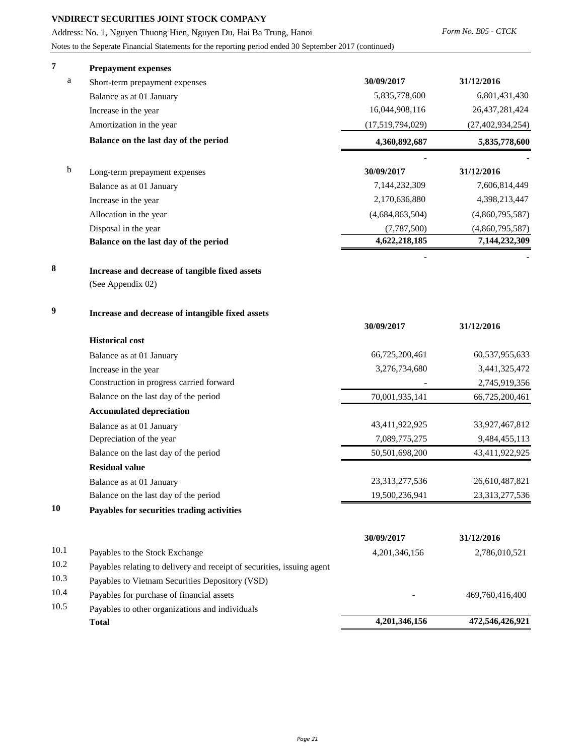Address: No. 1, Nguyen Thuong Hien, Nguyen Du, Hai Ba Trung, Hanoi

Notes to the Seperate Financial Statements for the reporting period ended 30 September 2017 (continued)

| 7    | <b>Prepayment expenses</b>                                             |                  |                     |
|------|------------------------------------------------------------------------|------------------|---------------------|
| a    | Short-term prepayment expenses                                         | 30/09/2017       | 31/12/2016          |
|      | Balance as at 01 January                                               | 5,835,778,600    | 6,801,431,430       |
|      | Increase in the year                                                   | 16,044,908,116   | 26,437,281,424      |
|      | Amortization in the year                                               | (17,519,794,029) | (27, 402, 934, 254) |
|      | Balance on the last day of the period                                  | 4,360,892,687    | 5,835,778,600       |
| b    | Long-term prepayment expenses                                          | 30/09/2017       | 31/12/2016          |
|      | Balance as at 01 January                                               | 7,144,232,309    | 7,606,814,449       |
|      | Increase in the year                                                   | 2,170,636,880    | 4,398,213,447       |
|      | Allocation in the year                                                 | (4,684,863,504)  | (4,860,795,587)     |
|      | Disposal in the year                                                   | (7,787,500)      | (4,860,795,587)     |
|      | Balance on the last day of the period                                  | 4,622,218,185    | 7,144,232,309       |
| 8    | Increase and decrease of tangible fixed assets                         |                  |                     |
|      | (See Appendix 02)                                                      |                  |                     |
| 9    | Increase and decrease of intangible fixed assets                       | 30/09/2017       | 31/12/2016          |
|      | <b>Historical cost</b>                                                 |                  |                     |
|      | Balance as at 01 January                                               | 66,725,200,461   | 60,537,955,633      |
|      | Increase in the year                                                   | 3,276,734,680    | 3,441,325,472       |
|      | Construction in progress carried forward                               |                  | 2,745,919,356       |
|      | Balance on the last day of the period                                  | 70,001,935,141   | 66,725,200,461      |
|      | <b>Accumulated depreciation</b>                                        |                  |                     |
|      | Balance as at 01 January                                               | 43,411,922,925   | 33,927,467,812      |
|      | Depreciation of the year                                               | 7,089,775,275    | 9,484,455,113       |
|      | Balance on the last day of the period                                  | 50,501,698,200   | 43,411,922,925      |
|      | <b>Residual value</b>                                                  |                  |                     |
|      | Balance as at 01 January                                               | 23,313,277,536   | 26,610,487,821      |
|      | Balance on the last day of the period                                  | 19,500,236,941   | 23,313,277,536      |
| 10   | Payables for securities trading activities                             |                  |                     |
|      |                                                                        | 30/09/2017       | 31/12/2016          |
| 10.1 | Payables to the Stock Exchange                                         | 4,201,346,156    | 2,786,010,521       |
| 10.2 | Payables relating to delivery and receipt of securities, issuing agent |                  |                     |
| 10.3 | Payables to Vietnam Securities Depository (VSD)                        |                  |                     |
| 10.4 | Payables for purchase of financial assets                              |                  | 469,760,416,400     |
| 10.5 | Payables to other organizations and individuals                        |                  |                     |
|      | <b>Total</b>                                                           | 4,201,346,156    | 472,546,426,921     |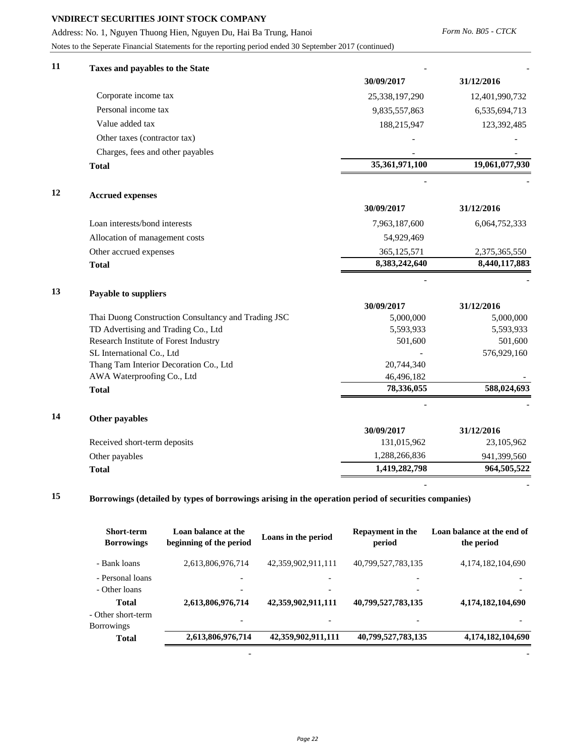Address: No. 1, Nguyen Thuong Hien, Nguyen Du, Hai Ba Trung, Hanoi

Notes to the Seperate Financial Statements for the reporting period ended 30 September 2017 (continued)

| 11 | Taxes and payables to the State                     |                |                |
|----|-----------------------------------------------------|----------------|----------------|
|    |                                                     | 30/09/2017     | 31/12/2016     |
|    | Corporate income tax                                | 25,338,197,290 | 12,401,990,732 |
|    | Personal income tax                                 | 9,835,557,863  | 6,535,694,713  |
|    | Value added tax                                     | 188,215,947    | 123,392,485    |
|    | Other taxes (contractor tax)                        |                |                |
|    | Charges, fees and other payables                    |                |                |
|    | <b>Total</b>                                        | 35,361,971,100 | 19,061,077,930 |
| 12 | <b>Accrued expenses</b>                             |                |                |
|    |                                                     | 30/09/2017     | 31/12/2016     |
|    | Loan interests/bond interests                       | 7,963,187,600  | 6,064,752,333  |
|    | Allocation of management costs                      | 54,929,469     |                |
|    | Other accrued expenses                              | 365,125,571    | 2,375,365,550  |
|    | <b>Total</b>                                        | 8,383,242,640  | 8,440,117,883  |
| 13 | Payable to suppliers                                |                |                |
|    |                                                     | 30/09/2017     | 31/12/2016     |
|    | Thai Duong Construction Consultancy and Trading JSC | 5,000,000      | 5,000,000      |
|    | TD Advertising and Trading Co., Ltd                 | 5,593,933      | 5,593,933      |
|    | Research Institute of Forest Industry               | 501,600        | 501,600        |
|    | SL International Co., Ltd                           |                | 576,929,160    |
|    | Thang Tam Interior Decoration Co., Ltd              | 20,744,340     |                |
|    | AWA Waterproofing Co., Ltd                          | 46,496,182     |                |
|    | <b>Total</b>                                        | 78,336,055     | 588,024,693    |
| 14 | Other payables                                      |                |                |
|    |                                                     | 30/09/2017     | 31/12/2016     |
|    | Received short-term deposits                        | 131,015,962    | 23,105,962     |
|    | Other payables                                      | 1,288,266,836  | 941,399,560    |
|    | <b>Total</b>                                        | 1,419,282,798  | 964,505,522    |

# **15 Borrowings (detailed by types of borrowings arising in the operation period of securities companies)**

| <b>Short-term</b><br><b>Borrowings</b>                  | Loan balance at the<br>beginning of the period | Loans in the period | Repayment in the<br>period | Loan balance at the end of<br>the period |
|---------------------------------------------------------|------------------------------------------------|---------------------|----------------------------|------------------------------------------|
| - Bank loans                                            | 2,613,806,976,714                              | 42,359,902,911,111  | 40,799,527,783,135         | 4,174,182,104,690                        |
| - Personal loans<br>- Other loans                       |                                                |                     |                            |                                          |
| <b>Total</b><br>- Other short-term<br><b>Borrowings</b> | 2,613,806,976,714                              | 42,359,902,911,111  | 40,799,527,783,135         | 4,174,182,104,690                        |
| <b>Total</b>                                            | 2,613,806,976,714                              | 42,359,902,911,111  | 40,799,527,783,135         | 4,174,182,104,690                        |
|                                                         |                                                |                     |                            |                                          |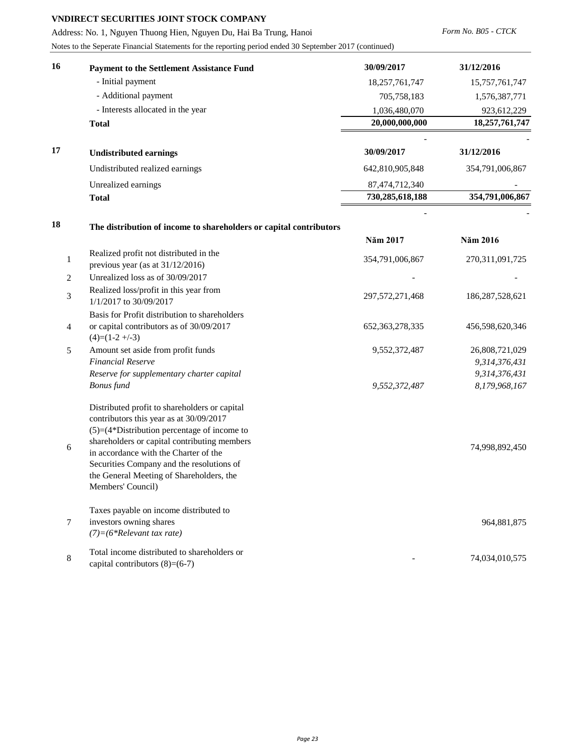Address: No. 1, Nguyen Thuong Hien, Nguyen Du, Hai Ba Trung, Hanoi

Notes to the Seperate Financial Statements for the reporting period ended 30 September 2017 (continued)

*Form No. B05 - CTCK* 

| 16 | <b>Payment to the Settlement Assistance Fund</b>                                                                                                                                                                                                                                                                                                  | 30/09/2017         | 31/12/2016                      |
|----|---------------------------------------------------------------------------------------------------------------------------------------------------------------------------------------------------------------------------------------------------------------------------------------------------------------------------------------------------|--------------------|---------------------------------|
|    | - Initial payment                                                                                                                                                                                                                                                                                                                                 | 18,257,761,747     | 15,757,761,747                  |
|    | - Additional payment                                                                                                                                                                                                                                                                                                                              | 705,758,183        | 1,576,387,771                   |
|    | - Interests allocated in the year                                                                                                                                                                                                                                                                                                                 | 1,036,480,070      | 923,612,229                     |
|    | <b>Total</b>                                                                                                                                                                                                                                                                                                                                      | 20,000,000,000     | 18,257,761,747                  |
| 17 | <b>Undistributed earnings</b>                                                                                                                                                                                                                                                                                                                     | 30/09/2017         | 31/12/2016                      |
|    | Undistributed realized earnings                                                                                                                                                                                                                                                                                                                   | 642,810,905,848    | 354,791,006,867                 |
|    | Unrealized earnings                                                                                                                                                                                                                                                                                                                               | 87,474,712,340     |                                 |
|    | <b>Total</b>                                                                                                                                                                                                                                                                                                                                      | 730,285,618,188    | 354,791,006,867                 |
|    |                                                                                                                                                                                                                                                                                                                                                   |                    |                                 |
| 18 | The distribution of income to shareholders or capital contributors                                                                                                                                                                                                                                                                                |                    |                                 |
|    |                                                                                                                                                                                                                                                                                                                                                   | Năm 2017           | Năm 2016                        |
| 1  | Realized profit not distributed in the                                                                                                                                                                                                                                                                                                            | 354,791,006,867    | 270, 311, 091, 725              |
|    | previous year (as at $31/12/2016$ )<br>Unrealized loss as of 30/09/2017                                                                                                                                                                                                                                                                           |                    |                                 |
| 2  | Realized loss/profit in this year from                                                                                                                                                                                                                                                                                                            |                    |                                 |
| 3  | 1/1/2017 to 30/09/2017                                                                                                                                                                                                                                                                                                                            | 297,572,271,468    | 186,287,528,621                 |
| 4  | Basis for Profit distribution to shareholders<br>or capital contributors as of 30/09/2017<br>$(4)=(1-2+\sqrt{-3})$                                                                                                                                                                                                                                | 652, 363, 278, 335 | 456,598,620,346                 |
| 5  | Amount set aside from profit funds<br><b>Financial Reserve</b>                                                                                                                                                                                                                                                                                    | 9,552,372,487      | 26,808,721,029<br>9,314,376,431 |
|    | Reserve for supplementary charter capital                                                                                                                                                                                                                                                                                                         |                    | 9,314,376,431                   |
|    | <b>Bonus</b> fund                                                                                                                                                                                                                                                                                                                                 | 9,552,372,487      | 8,179,968,167                   |
| 6  | Distributed profit to shareholders or capital<br>contributors this year as at 30/09/2017<br>$(5)=(4*Distribution)$ percentage of income to<br>shareholders or capital contributing members<br>in accordance with the Charter of the<br>Securities Company and the resolutions of<br>the General Meeting of Shareholders, the<br>Members' Council) |                    | 74,998,892,450                  |
| 7  | Taxes payable on income distributed to<br>investors owning shares<br>$(7) = (6 * Relevant tax rate)$                                                                                                                                                                                                                                              |                    | 964,881,875                     |
| 8  | Total income distributed to shareholders or<br>capital contributors $(8)=(6-7)$                                                                                                                                                                                                                                                                   |                    | 74,034,010,575                  |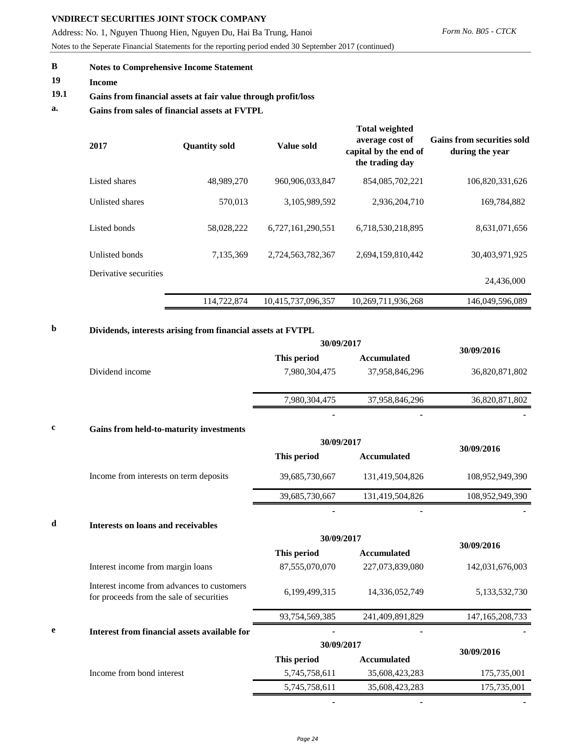Address: No. 1, Nguyen Thuong Hien, Nguyen Du, Hai Ba Trung, Hanoi

Notes to the Seperate Financial Statements for the reporting period ended 30 September 2017 (continued)

# **B Notes to Comprehensive Income Statement**

**19 Income**

# **19.1 Gains from financial assets at fair value through profit/loss**

**a. Gains from sales of financial assets at FVTPL**

| 2017                  | <b>Quantity sold</b> | Value sold         | <b>Total weighted</b><br>average cost of<br>capital by the end of<br>the trading day | <b>Gains from securities sold</b><br>during the year |
|-----------------------|----------------------|--------------------|--------------------------------------------------------------------------------------|------------------------------------------------------|
| Listed shares         | 48,989,270           | 960.906.033.847    | 854,085,702,221                                                                      | 106,820,331,626                                      |
| Unlisted shares       | 570.013              | 3,105,989,592      | 2.936.204.710                                                                        | 169.784.882                                          |
| Listed bonds          | 58,028,222           | 6,727,161,290,551  | 6,718,530,218,895                                                                    | 8,631,071,656                                        |
| Unlisted bonds        | 7,135,369            | 2,724,563,782,367  | 2,694,159,810,442                                                                    | 30,403,971,925                                       |
| Derivative securities |                      |                    |                                                                                      | 24,436,000                                           |
|                       | 114,722,874          | 10,415,737,096,357 | 10,269,711,936,268                                                                   | 146,049,596,089                                      |

# **b Dividends, interests arising from financial assets at FVTPL**

|                 | 30/09/2017    |                | 30/09/2016               |
|-----------------|---------------|----------------|--------------------------|
|                 | This period   | Accumulated    |                          |
| Dividend income | 7,980,304,475 | 37,958,846,296 | 36,820,871,802           |
|                 | 7,980,304,475 | 37,958,846,296 | 36,820,871,802           |
|                 | -             | ۰              | $\overline{\phantom{a}}$ |

### **c Gains from held-to-maturity investments**

|   |                                        | 30/09/2017     |                          |                 |  |
|---|----------------------------------------|----------------|--------------------------|-----------------|--|
|   |                                        | This period    | <b>Accumulated</b>       | 30/09/2016      |  |
|   | Income from interests on term deposits | 39,685,730,667 | 131,419,504,826          | 108,952,949,390 |  |
|   |                                        | 39,685,730,667 | 131,419,504,826          | 108,952,949,390 |  |
| d | Interests on loans and receivables     |                | $\overline{\phantom{0}}$ |                 |  |
|   |                                        | 30/09/2017     |                          |                 |  |

|   |                                                                                        |                |                    | 30/09/2016      |  |
|---|----------------------------------------------------------------------------------------|----------------|--------------------|-----------------|--|
|   |                                                                                        | This period    | <b>Accumulated</b> |                 |  |
|   | Interest income from margin loans                                                      | 87,555,070,070 | 227,073,839,080    | 142,031,676,003 |  |
|   | Interest income from advances to customers<br>for proceeds from the sale of securities | 6,199,499,315  | 14,336,052,749     | 5,133,532,730   |  |
|   |                                                                                        | 93,754,569,385 | 241,409,891,829    | 147.165.208.733 |  |
| e | Interest from financial assets available for                                           |                |                    |                 |  |
|   |                                                                                        | 30/09/2017     |                    | 30/09/2016      |  |
|   |                                                                                        | This period    | <b>Accumulated</b> |                 |  |
|   | Income from bond interest                                                              | 5,745,758,611  | 35,608,423,283     | 175,735,001     |  |
|   |                                                                                        | 5,745,758,611  | 35,608,423,283     | 175,735,001     |  |

 **- - -**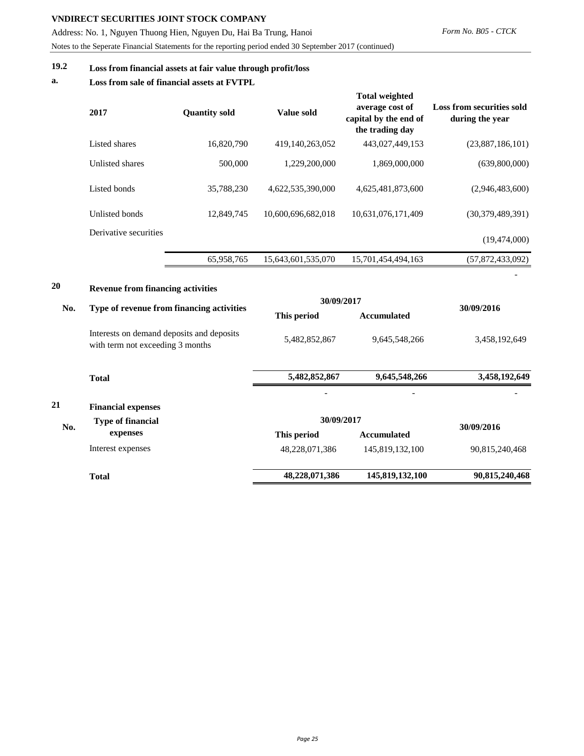Address: No. 1, Nguyen Thuong Hien, Nguyen Du, Hai Ba Trung, Hanoi Notes to the Seperate Financial Statements for the reporting period ended 30 September 2017 (continued)

# **19.2 Loss from financial assets at fair value through profit/loss**

### **a. Loss from sale of financial assets at FVTPL**

|           | 2017                                                                                  | <b>Quantity sold</b> | Value sold                | <b>Total weighted</b><br>average cost of<br>capital by the end of<br>the trading day | <b>Loss from securities sold</b><br>during the year |
|-----------|---------------------------------------------------------------------------------------|----------------------|---------------------------|--------------------------------------------------------------------------------------|-----------------------------------------------------|
|           | Listed shares                                                                         | 16,820,790           | 419,140,263,052           | 443,027,449,153                                                                      | (23,887,186,101)                                    |
|           | Unlisted shares                                                                       | 500,000              | 1,229,200,000             | 1,869,000,000                                                                        | (639,800,000)                                       |
|           | Listed bonds                                                                          | 35,788,230           | 4,622,535,390,000         | 4,625,481,873,600                                                                    | (2,946,483,600)                                     |
|           | Unlisted bonds                                                                        | 12,849,745           | 10,600,696,682,018        | 10,631,076,171,409                                                                   | (30,379,489,391)                                    |
|           | Derivative securities                                                                 |                      |                           |                                                                                      | (19, 474, 000)                                      |
|           |                                                                                       | 65,958,765           | 15,643,601,535,070        | 15,701,454,494,163                                                                   | (57,872,433,092)                                    |
| 20<br>No. | <b>Revenue from financing activities</b><br>Type of revenue from financing activities |                      | 30/09/2017                |                                                                                      | 30/09/2016                                          |
|           |                                                                                       |                      | This period               | <b>Accumulated</b>                                                                   |                                                     |
|           | Interests on demand deposits and deposits<br>with term not exceeding 3 months         |                      | 5,482,852,867             | 9,645,548,266                                                                        | 3,458,192,649                                       |
|           | <b>Total</b>                                                                          |                      | 5,482,852,867             | 9,645,548,266                                                                        | 3,458,192,649                                       |
|           |                                                                                       |                      |                           |                                                                                      |                                                     |
| 21        | <b>Financial expenses</b>                                                             |                      |                           |                                                                                      |                                                     |
| No.       | <b>Type of financial</b><br>expenses                                                  |                      | 30/09/2017<br>This period | <b>Accumulated</b>                                                                   | 30/09/2016                                          |
|           | Interest expenses                                                                     |                      | 48,228,071,386            | 145,819,132,100                                                                      | 90,815,240,468                                      |
|           | <b>Total</b>                                                                          |                      | 48,228,071,386            | 145,819,132,100                                                                      | 90,815,240,468                                      |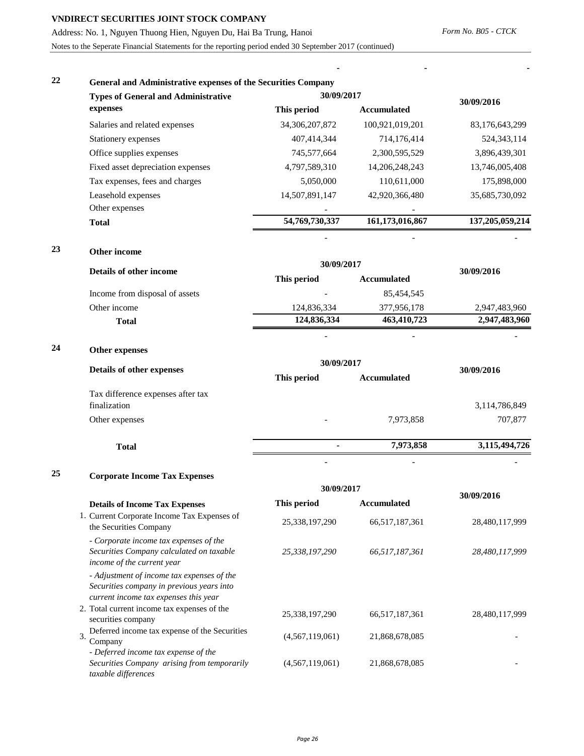Address: No. 1, Nguyen Thuong Hien, Nguyen Du, Hai Ba Trung, Hanoi

Notes to the Seperate Financial Statements for the reporting period ended 30 September 2017 (continued)

**- - -**

| General and Administrative expenses of the Securities Company<br><b>Types of General and Administrative</b> | 30/09/2017        |                    |                    |  |
|-------------------------------------------------------------------------------------------------------------|-------------------|--------------------|--------------------|--|
| expenses                                                                                                    | This period       | <b>Accumulated</b> | 30/09/2016         |  |
| Salaries and related expenses                                                                               | 34, 306, 207, 872 | 100,921,019,201    | 83,176,643,299     |  |
| Stationery expenses                                                                                         | 407,414,344       | 714,176,414        | 524, 343, 114      |  |
| Office supplies expenses                                                                                    | 745,577,664       | 2,300,595,529      | 3,896,439,301      |  |
| Fixed asset depreciation expenses                                                                           | 4,797,589,310     | 14, 206, 248, 243  | 13,746,005,408     |  |
| Tax expenses, fees and charges                                                                              | 5,050,000         | 110,611,000        | 175,898,000        |  |
| Leasehold expenses                                                                                          | 14,507,891,147    | 42,920,366,480     | 35,685,730,092     |  |
| Other expenses                                                                                              |                   |                    |                    |  |
| <b>Total</b>                                                                                                | 54,769,730,337    | 161,173,016,867    | 137, 205, 059, 214 |  |
|                                                                                                             |                   |                    |                    |  |

**23 Other income**

|    | Details of other income                           | 30/09/2017                        | 30/09/2016         |               |  |
|----|---------------------------------------------------|-----------------------------------|--------------------|---------------|--|
|    |                                                   | This period                       | <b>Accumulated</b> |               |  |
|    | Income from disposal of assets                    |                                   | 85,454,545         |               |  |
|    | Other income                                      | 124,836,334                       | 377,956,178        | 2,947,483,960 |  |
|    | <b>Total</b>                                      | 124,836,334                       | 463,410,723        | 2,947,483,960 |  |
| 24 | Other expenses                                    |                                   |                    |               |  |
|    | Details of other expenses                         | 30/09/2017                        |                    | 30/09/2016    |  |
|    |                                                   | This period<br><b>Accumulated</b> |                    |               |  |
|    | Tax difference expenses after tax<br>finalization |                                   |                    | 3,114,786,849 |  |
|    | Other expenses                                    | $\overline{\phantom{0}}$          | 7,973,858          | 707,877       |  |
|    |                                                   |                                   |                    |               |  |

**Total - 7,973,858 3,115,494,726** 

- - -

**25 Corporate Income Tax Expenses**

|                                                                                                                                  | 30/09/2017      |                |                |
|----------------------------------------------------------------------------------------------------------------------------------|-----------------|----------------|----------------|
| <b>Details of Income Tax Expenses</b>                                                                                            | This period     | Accumulated    | 30/09/2016     |
| 1. Current Corporate Income Tax Expenses of<br>the Securities Company                                                            | 25,338,197,290  | 66,517,187,361 | 28,480,117,999 |
| - Corporate income tax expenses of the<br>Securities Company calculated on taxable<br>income of the current year                 | 25,338,197,290  | 66,517,187,361 | 28,480,117,999 |
| - Adjustment of income tax expenses of the<br>Securities company in previous years into<br>current income tax expenses this year |                 |                |                |
| 2. Total current income tax expenses of the<br>securities company                                                                | 25,338,197,290  | 66,517,187,361 | 28,480,117,999 |
| Deferred income tax expense of the Securities<br>3.<br>Company                                                                   | (4,567,119,061) | 21,868,678,085 |                |
| - Deferred income tax expense of the<br>Securities Company arising from temporarily<br>taxable differences                       | (4,567,119,061) | 21,868,678,085 |                |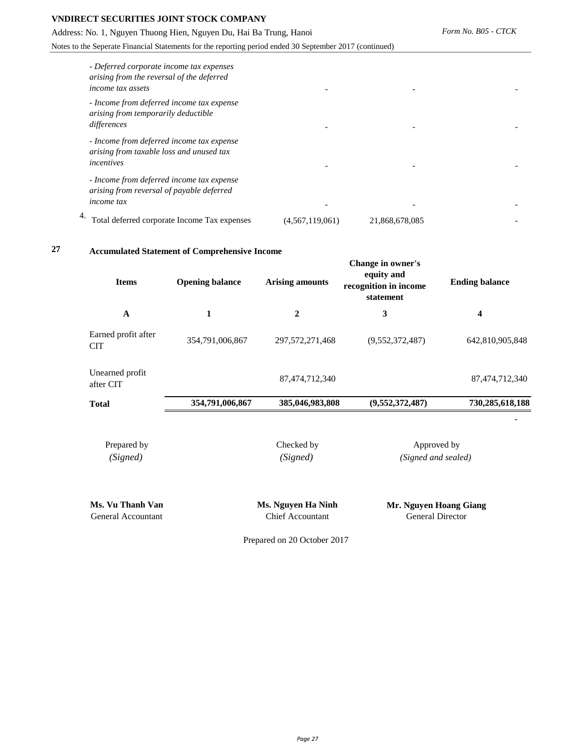Address: No. 1, Nguyen Thuong Hien, Nguyen Du, Hai Ba Trung, Hanoi

Notes to the Seperate Financial Statements for the reporting period ended 30 September 2017 (continued)

| - Deferred corporate income tax expenses<br>arising from the reversal of the deferred<br><i>income tax assets</i> |                 |                |  |
|-------------------------------------------------------------------------------------------------------------------|-----------------|----------------|--|
| - Income from deferred income tax expense<br>arising from temporarily deductible<br>differences                   |                 |                |  |
| - Income from deferred income tax expense<br>arising from taxable loss and unused tax<br>incentives               |                 |                |  |
| - Income from deferred income tax expense<br>arising from reversal of payable deferred<br><i>income</i> tax       |                 |                |  |
| Total deferred corporate Income Tax expenses                                                                      | (4,567,119,061) | 21,868,678,085 |  |

**27 Accumulated Statement of Comprehensive Income** 

| <b>Items</b>                           | <b>Opening balance</b> | <b>Arising amounts</b>                        | Change in owner's<br>equity and<br>recognition in income<br>statement | <b>Ending balance</b> |  |
|----------------------------------------|------------------------|-----------------------------------------------|-----------------------------------------------------------------------|-----------------------|--|
| $\mathbf{A}$                           | 1                      | $\overline{2}$                                | 3                                                                     | 4                     |  |
| Earned profit after<br><b>CIT</b>      | 354,791,006,867        | 297, 572, 271, 468                            | (9,552,372,487)                                                       | 642,810,905,848       |  |
| Unearned profit<br>after CIT           |                        | 87,474,712,340                                |                                                                       | 87, 474, 712, 340     |  |
| <b>Total</b>                           | 354,791,006,867        | 385,046,983,808                               | (9,552,372,487)                                                       | 730,285,618,188       |  |
| Prepared by<br>(Signed)                |                        | Checked by<br>(Signed)                        | Approved by<br>(Signed and sealed)                                    |                       |  |
| Ms. Vu Thanh Van<br>General Accountant |                        | Ms. Nguyen Ha Ninh<br><b>Chief Accountant</b> | Mr. Nguyen Hoang Giang<br><b>General Director</b>                     |                       |  |

Prepared on 20 October 2017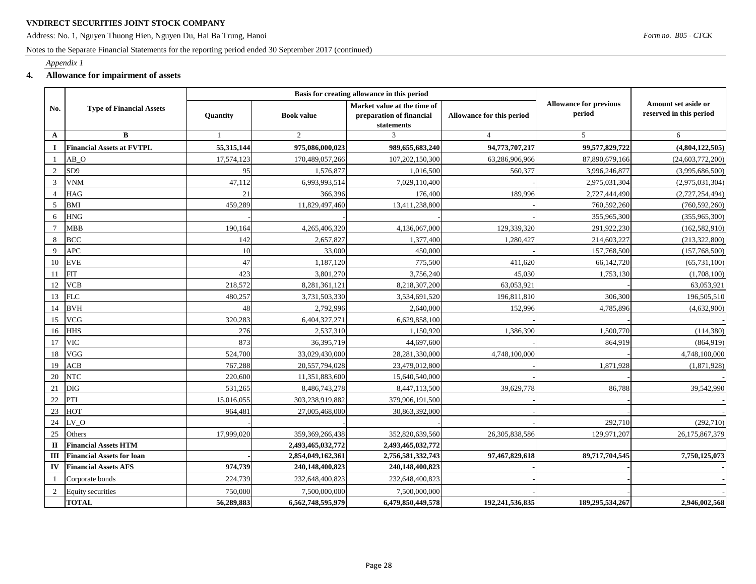Address: No. 1, Nguyen Thuong Hien, Nguyen Du, Hai Ba Trung, Hanoi

#### Notes to the Separate Financial Statements for the reporting period ended 30 September 2017 (continued)

#### *Appendix 1*

#### **4. Allowance for impairment of assets**

|                       | <b>Type of Financial Assets</b>  | Basis for creating allowance in this period |                    |                                                                       |                           |                                         |                                                |
|-----------------------|----------------------------------|---------------------------------------------|--------------------|-----------------------------------------------------------------------|---------------------------|-----------------------------------------|------------------------------------------------|
| No.                   |                                  | Quantity                                    | <b>Book value</b>  | Market value at the time of<br>preparation of financial<br>statements | Allowance for this period | <b>Allowance for previous</b><br>period | Amount set aside or<br>reserved in this period |
| $\mathbf{A}$          | $\bf{B}$                         | 1                                           | $\overline{2}$     | 3                                                                     | $\overline{4}$            | 5                                       | 6                                              |
| $\mathbf I$           | <b>Financial Assets at FVTPL</b> | 55,315,144                                  | 975,086,000,023    | 989,655,683,240                                                       | 94,773,707,217            | 99,577,829,722                          | (4,804,122,505)                                |
|                       | AB <sub>O</sub>                  | 17,574,123                                  | 170,489,057,266    | 107,202,150,300                                                       | 63,286,906,966            | 87,890,679,166                          | (24, 603, 772, 200)                            |
| $\overline{2}$        | SD <sub>9</sub>                  | 95                                          | 1,576,877          | 1,016,500                                                             | 560,377                   | 3,996,246,877                           | (3,995,686,500)                                |
| 3                     | <b>VNM</b>                       | 47,112                                      | 6,993,993,514      | 7,029,110,400                                                         |                           | 2,975,031,304                           | (2,975,031,304)                                |
| $\boldsymbol{\Delta}$ | HAG                              | 21                                          | 366,396            | 176,400                                                               | 189,996                   | 2,727,444,490                           | (2,727,254,494)                                |
| 5                     | BMI                              | 459,289                                     | 11,829,497,460     | 13,411,238,800                                                        |                           | 760,592,260                             | (760, 592, 260)                                |
| 6                     | <b>HNG</b>                       |                                             |                    |                                                                       |                           | 355,965,300                             | (355,965,300)                                  |
| $7\phantom{.0}$       | <b>MBB</b>                       | 190,164                                     | 4,265,406,320      | 4,136,067,000                                                         | 129,339,320               | 291,922,230                             | (162, 582, 910)                                |
| 8                     | <b>BCC</b>                       | 142                                         | 2,657,827          | 1,377,400                                                             | 1,280,427                 | 214,603,227                             | (213, 322, 800)                                |
| 9                     | <b>APC</b>                       | 10                                          | 33,000             | 450,000                                                               |                           | 157,768,500                             | (157,768,500)                                  |
| 10                    | <b>EVE</b>                       | 47                                          | 1,187,120          | 775,500                                                               | 411.620                   | 66,142,720                              | (65, 731, 100)                                 |
| 11                    | FIT                              | 423                                         | 3,801,270          | 3,756,240                                                             | 45,030                    | 1,753,130                               | (1,708,100)                                    |
| 12                    | <b>VCB</b>                       | 218,572                                     | 8,281,361,121      | 8,218,307,200                                                         | 63,053,921                |                                         | 63,053,921                                     |
| 13                    | <b>FLC</b>                       | 480,257                                     | 3,731,503,330      | 3,534,691,520                                                         | 196,811,810               | 306,300                                 | 196,505,510                                    |
| 14                    | <b>BVH</b>                       | 48                                          | 2,792,996          | 2,640,000                                                             | 152,996                   | 4,785,896                               | (4,632,900)                                    |
| 15                    | <b>VCG</b>                       | 320,283                                     | 6,404,327,271      | 6,629,858,100                                                         |                           |                                         |                                                |
| 16                    | <b>HHS</b>                       | 276                                         | 2,537,310          | 1,150,920                                                             | 1,386,390                 | 1,500,770                               | (114, 380)                                     |
| 17                    | <b>VIC</b>                       | 873                                         | 36,395,719         | 44,697,600                                                            |                           | 864,919                                 | (864,919)                                      |
| 18                    | VGG                              | 524,700                                     | 33,029,430,000     | 28,281,330,000                                                        | 4,748,100,000             |                                         | 4,748,100,000                                  |
| 19                    | ACB                              | 767,288                                     | 20,557,794,028     | 23,479,012,800                                                        |                           | 1,871,928                               | (1,871,928)                                    |
| 20                    | <b>NTC</b>                       | 220,600                                     | 11,351,883,600     | 15,640,540,000                                                        |                           |                                         |                                                |
| 21                    | <b>DIG</b>                       | 531,265                                     | 8,486,743,278      | 8,447,113,500                                                         | 39,629,778                | 86,788                                  | 39,542,990                                     |
| $22\,$                | PTI                              | 15,016,055                                  | 303,238,919,882    | 379,906,191,500                                                       |                           |                                         |                                                |
| 23                    | HOT                              | 964,481                                     | 27,005,468,000     | 30,863,392,000                                                        |                           |                                         |                                                |
| 24                    | LV O                             |                                             |                    |                                                                       |                           | 292,710                                 | (292,710)                                      |
| 25                    | Others                           | 17,999,020                                  | 359, 369, 266, 438 | 352,820,639,560                                                       | 26, 305, 838, 586         | 129,971,207                             | 26,175,867,379                                 |
| $\mathbf{I}$          | <b>Financial Assets HTM</b>      |                                             | 2,493,465,032,772  | 2,493,465,032,772                                                     |                           |                                         |                                                |
| Ш                     | <b>Financial Assets for loan</b> |                                             | 2,854,049,162,361  | 2,756,581,332,743                                                     | 97,467,829,618            | 89,717,704,545                          | 7,750,125,073                                  |
| IV                    | <b>Financial Assets AFS</b>      | 974,739                                     | 240,148,400,823    | 240,148,400,823                                                       |                           |                                         |                                                |
|                       | Corporate bonds                  | 224,739                                     | 232,648,400,823    | 232,648,400,823                                                       |                           |                                         |                                                |
| $\overline{2}$        | <b>Equity securities</b>         | 750,000                                     | 7,500,000,000      | 7,500,000,000                                                         |                           |                                         |                                                |
|                       | <b>TOTAL</b>                     | 56,289,883                                  | 6,562,748,595,979  | 6,479,850,449,578                                                     | 192,241,536,835           | 189,295,534,267                         | 2,946,002,568                                  |